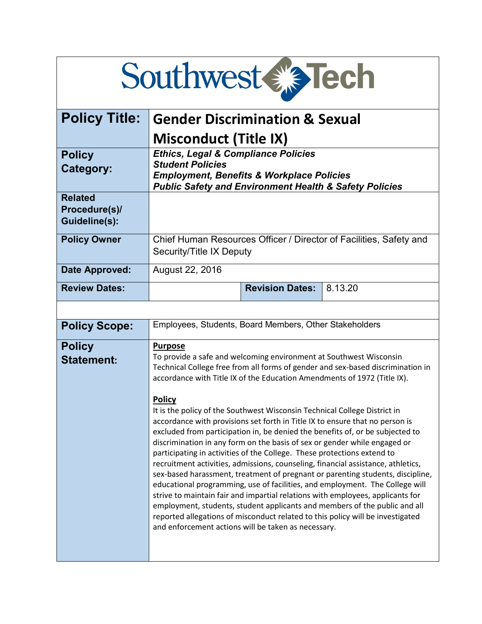# Southwest & Tech

| <b>Policy Title:</b>                             | <b>Gender Discrimination &amp; Sexual</b>                                                                                                                                                                                                                                                                                                                                                                                                                                                                                                                                                                                                                                                                                                                                                                                                                                                                                                                                                                                                                                                                                                                                                                                                 |
|--------------------------------------------------|-------------------------------------------------------------------------------------------------------------------------------------------------------------------------------------------------------------------------------------------------------------------------------------------------------------------------------------------------------------------------------------------------------------------------------------------------------------------------------------------------------------------------------------------------------------------------------------------------------------------------------------------------------------------------------------------------------------------------------------------------------------------------------------------------------------------------------------------------------------------------------------------------------------------------------------------------------------------------------------------------------------------------------------------------------------------------------------------------------------------------------------------------------------------------------------------------------------------------------------------|
|                                                  | <b>Misconduct (Title IX)</b>                                                                                                                                                                                                                                                                                                                                                                                                                                                                                                                                                                                                                                                                                                                                                                                                                                                                                                                                                                                                                                                                                                                                                                                                              |
| <b>Policy</b><br><b>Category:</b>                | <b>Ethics, Legal &amp; Compliance Policies</b><br><b>Student Policies</b><br><b>Employment, Benefits &amp; Workplace Policies</b><br><b>Public Safety and Environment Health &amp; Safety Policies</b>                                                                                                                                                                                                                                                                                                                                                                                                                                                                                                                                                                                                                                                                                                                                                                                                                                                                                                                                                                                                                                    |
| <b>Related</b><br>Procedure(s)/<br>Guideline(s): |                                                                                                                                                                                                                                                                                                                                                                                                                                                                                                                                                                                                                                                                                                                                                                                                                                                                                                                                                                                                                                                                                                                                                                                                                                           |
| <b>Policy Owner</b>                              | Chief Human Resources Officer / Director of Facilities, Safety and<br>Security/Title IX Deputy                                                                                                                                                                                                                                                                                                                                                                                                                                                                                                                                                                                                                                                                                                                                                                                                                                                                                                                                                                                                                                                                                                                                            |
| Date Approved:                                   | August 22, 2016                                                                                                                                                                                                                                                                                                                                                                                                                                                                                                                                                                                                                                                                                                                                                                                                                                                                                                                                                                                                                                                                                                                                                                                                                           |
| <b>Review Dates:</b>                             | <b>Revision Dates:</b><br>8.13.20                                                                                                                                                                                                                                                                                                                                                                                                                                                                                                                                                                                                                                                                                                                                                                                                                                                                                                                                                                                                                                                                                                                                                                                                         |
|                                                  |                                                                                                                                                                                                                                                                                                                                                                                                                                                                                                                                                                                                                                                                                                                                                                                                                                                                                                                                                                                                                                                                                                                                                                                                                                           |
| <b>Policy Scope:</b>                             | Employees, Students, Board Members, Other Stakeholders                                                                                                                                                                                                                                                                                                                                                                                                                                                                                                                                                                                                                                                                                                                                                                                                                                                                                                                                                                                                                                                                                                                                                                                    |
| <b>Policy</b><br><b>Statement:</b>               | <b>Purpose</b><br>To provide a safe and welcoming environment at Southwest Wisconsin<br>Technical College free from all forms of gender and sex-based discrimination in<br>accordance with Title IX of the Education Amendments of 1972 (Title IX).<br><b>Policy</b><br>It is the policy of the Southwest Wisconsin Technical College District in<br>accordance with provisions set forth in Title IX to ensure that no person is<br>excluded from participation in, be denied the benefits of, or be subjected to<br>discrimination in any form on the basis of sex or gender while engaged or<br>participating in activities of the College. These protections extend to<br>recruitment activities, admissions, counseling, financial assistance, athletics,<br>sex-based harassment, treatment of pregnant or parenting students, discipline,<br>educational programming, use of facilities, and employment. The College will<br>strive to maintain fair and impartial relations with employees, applicants for<br>employment, students, student applicants and members of the public and all<br>reported allegations of misconduct related to this policy will be investigated<br>and enforcement actions will be taken as necessary. |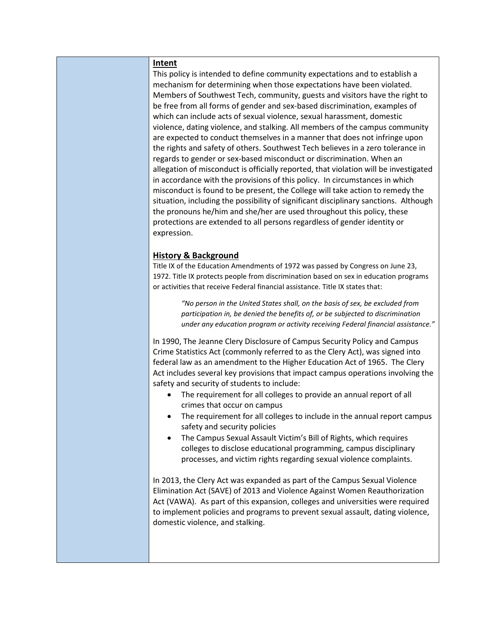#### **Intent**

This policy is intended to define community expectations and to establish a mechanism for determining when those expectations have been violated. Members of Southwest Tech, community, guests and visitors have the right to be free from all forms of gender and sex-based discrimination, examples of which can include acts of sexual violence, sexual harassment, domestic violence, dating violence, and stalking. All members of the campus community are expected to conduct themselves in a manner that does not infringe upon the rights and safety of others. Southwest Tech believes in a zero tolerance in regards to gender or sex-based misconduct or discrimination. When an allegation of misconduct is officially reported, that violation will be investigated in accordance with the provisions of this policy. In circumstances in which misconduct is found to be present, the College will take action to remedy the situation, including the possibility of significant disciplinary sanctions. Although the pronouns he/him and she/her are used throughout this policy, these protections are extended to all persons regardless of gender identity or expression.

#### **History & Background**

Title IX of the Education Amendments of 1972 was passed by Congress on June 23, 1972. Title IX protects people from discrimination based on sex in education programs or activities that receive Federal financial assistance. Title IX states that:

> *"No person in the United States shall, on the basis of sex, be excluded from participation in, be denied the benefits of, or be subjected to discrimination under any education program or activity receiving Federal financial assistance."*

In 1990, The Jeanne Clery Disclosure of Campus Security Policy and Campus Crime Statistics Act (commonly referred to as the Clery Act), was signed into federal law as an amendment to the Higher Education Act of 1965. The Clery Act includes several key provisions that impact campus operations involving the safety and security of students to include:

- The requirement for all colleges to provide an annual report of all crimes that occur on campus
- The requirement for all colleges to include in the annual report campus safety and security policies
- The Campus Sexual Assault Victim's Bill of Rights, which requires colleges to disclose educational programming, campus disciplinary processes, and victim rights regarding sexual violence complaints.

In 2013, the Clery Act was expanded as part of the Campus Sexual Violence Elimination Act (SAVE) of 2013 and Violence Against Women Reauthorization Act (VAWA). As part of this expansion, colleges and universities were required to implement policies and programs to prevent sexual assault, dating violence, domestic violence, and stalking.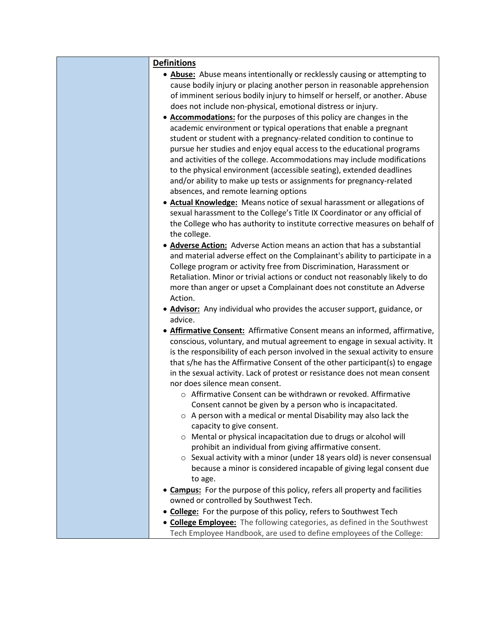| <b>Definitions</b>                                                                                                            |
|-------------------------------------------------------------------------------------------------------------------------------|
| • Abuse: Abuse means intentionally or recklessly causing or attempting to                                                     |
| cause bodily injury or placing another person in reasonable apprehension                                                      |
| of imminent serious bodily injury to himself or herself, or another. Abuse                                                    |
| does not include non-physical, emotional distress or injury.                                                                  |
| • Accommodations: for the purposes of this policy are changes in the                                                          |
| academic environment or typical operations that enable a pregnant                                                             |
| student or student with a pregnancy-related condition to continue to                                                          |
| pursue her studies and enjoy equal access to the educational programs                                                         |
| and activities of the college. Accommodations may include modifications                                                       |
| to the physical environment (accessible seating), extended deadlines                                                          |
| and/or ability to make up tests or assignments for pregnancy-related                                                          |
| absences, and remote learning options                                                                                         |
| • Actual Knowledge: Means notice of sexual harassment or allegations of                                                       |
| sexual harassment to the College's Title IX Coordinator or any official of                                                    |
| the College who has authority to institute corrective measures on behalf of<br>the college.                                   |
| • Adverse Action: Adverse Action means an action that has a substantial                                                       |
| and material adverse effect on the Complainant's ability to participate in a                                                  |
| College program or activity free from Discrimination, Harassment or                                                           |
| Retaliation. Minor or trivial actions or conduct not reasonably likely to do                                                  |
| more than anger or upset a Complainant does not constitute an Adverse                                                         |
| Action.                                                                                                                       |
| • <b>Advisor:</b> Any individual who provides the accuser support, guidance, or                                               |
| advice.                                                                                                                       |
| • Affirmative Consent: Affirmative Consent means an informed, affirmative,                                                    |
| conscious, voluntary, and mutual agreement to engage in sexual activity. It                                                   |
| is the responsibility of each person involved in the sexual activity to ensure                                                |
| that s/he has the Affirmative Consent of the other participant(s) to engage                                                   |
| in the sexual activity. Lack of protest or resistance does not mean consent                                                   |
| nor does silence mean consent.                                                                                                |
| ○ Affirmative Consent can be withdrawn or revoked. Affirmative                                                                |
| Consent cannot be given by a person who is incapacitated.<br>o A person with a medical or mental Disability may also lack the |
| capacity to give consent.                                                                                                     |
| o Mental or physical incapacitation due to drugs or alcohol will                                                              |
| prohibit an individual from giving affirmative consent.                                                                       |
| $\circ$ Sexual activity with a minor (under 18 years old) is never consensual                                                 |
| because a minor is considered incapable of giving legal consent due                                                           |
| to age.                                                                                                                       |
| • Campus: For the purpose of this policy, refers all property and facilities                                                  |
| owned or controlled by Southwest Tech.                                                                                        |
| • College: For the purpose of this policy, refers to Southwest Tech                                                           |
| • College Employee: The following categories as defined in the Southwest                                                      |

• **College Employee:** The following categories, as defined in the Southwest Tech Employee Handbook, are used to define employees of the College: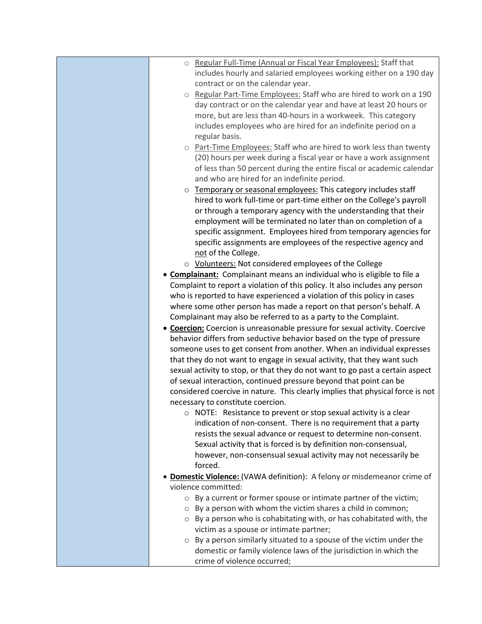| o Regular Full-Time (Annual or Fiscal Year Employees): Staff that              |
|--------------------------------------------------------------------------------|
| includes hourly and salaried employees working either on a 190 day             |
| contract or on the calendar year.                                              |
| Regular Part-Time Employees: Staff who are hired to work on a 190<br>$\circ$   |
| day contract or on the calendar year and have at least 20 hours or             |
| more, but are less than 40-hours in a workweek. This category                  |
| includes employees who are hired for an indefinite period on a                 |
| regular basis.                                                                 |
| o Part-Time Employees: Staff who are hired to work less than twenty            |
| (20) hours per week during a fiscal year or have a work assignment             |
| of less than 50 percent during the entire fiscal or academic calendar          |
| and who are hired for an indefinite period.                                    |
| o Temporary or seasonal employees: This category includes staff                |
| hired to work full-time or part-time either on the College's payroll           |
| or through a temporary agency with the understanding that their                |
| employment will be terminated no later than on completion of a                 |
| specific assignment. Employees hired from temporary agencies for               |
| specific assignments are employees of the respective agency and                |
| not of the College.                                                            |
| ○ Volunteers: Not considered employees of the College                          |
| • Complainant: Complainant means an individual who is eligible to file a       |
| Complaint to report a violation of this policy. It also includes any person    |
| who is reported to have experienced a violation of this policy in cases        |
| where some other person has made a report on that person's behalf. A           |
| Complainant may also be referred to as a party to the Complaint.               |
| • Coercion: Coercion is unreasonable pressure for sexual activity. Coercive    |
| behavior differs from seductive behavior based on the type of pressure         |
| someone uses to get consent from another. When an individual expresses         |
| that they do not want to engage in sexual activity, that they want such        |
| sexual activity to stop, or that they do not want to go past a certain aspect  |
| of sexual interaction, continued pressure beyond that point can be             |
| considered coercive in nature. This clearly implies that physical force is not |
| necessary to constitute coercion.                                              |
| NOTE: Resistance to prevent or stop sexual activity is a clear<br>O            |
| indication of non-consent. There is no requirement that a party                |
| resists the sexual advance or request to determine non-consent.                |
| Sexual activity that is forced is by definition non-consensual,                |
| however, non-consensual sexual activity may not necessarily be                 |
| forced.                                                                        |
| Domestic Violence: (VAWA definition): A felony or misdemeanor crime of         |
| violence committed:                                                            |
| By a current or former spouse or intimate partner of the victim;<br>$\circ$    |
| By a person with whom the victim shares a child in common;<br>$\circ$          |
| By a person who is cohabitating with, or has cohabitated with, the<br>$\circ$  |
| victim as a spouse or intimate partner;                                        |
| o By a person similarly situated to a spouse of the victim under the           |
| domestic or family violence laws of the jurisdiction in which the              |
| crime of violence occurred;                                                    |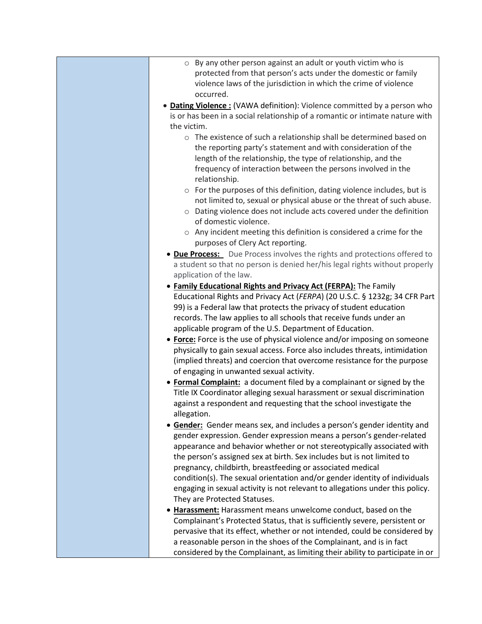- o By any other person against an adult or youth victim who is protected from that person's acts under the domestic or family violence laws of the jurisdiction in which the crime of violence occurred.
- **Dating Violence :** (VAWA definition): Violence committed by a person who is or has been in a social relationship of a romantic or intimate nature with the victim.
	- o The existence of such a relationship shall be determined based on the reporting party's statement and with consideration of the length of the relationship, the type of relationship, and the frequency of interaction between the persons involved in the relationship.
	- o For the purposes of this definition, dating violence includes, but is not limited to, sexual or physical abuse or the threat of such abuse.
	- o Dating violence does not include acts covered under the definition of domestic violence.
	- o Any incident meeting this definition is considered a crime for the purposes of Clery Act reporting.
- **Due Process:** Due Process involves the rights and protections offered to a student so that no person is denied her/his legal rights without properly application of the law.
- **Family Educational Rights and Privacy Act (FERPA):** The Family Educational Rights and Privacy Act (*FERPA*) (20 U.S.C. § 1232g; 34 CFR Part 99) is a Federal law that protects the privacy of student education records. The law applies to all schools that receive funds under an applicable program of the U.S. Department of Education.
- **Force:** Force is the use of physical violence and/or imposing on someone physically to gain sexual access. Force also includes threats, intimidation (implied threats) and coercion that overcome resistance for the purpose of engaging in unwanted sexual activity.
- **Formal Complaint:** a document filed by a complainant or signed by the Title IX Coordinator alleging sexual harassment or sexual discrimination against a respondent and requesting that the school investigate the allegation.
- **Gender:** Gender means sex, and includes a person's gender identity and gender expression. Gender expression means a person's gender-related appearance and behavior whether or not stereotypically associated with the person's assigned sex at birth. Sex includes but is not limited to pregnancy, childbirth, breastfeeding or associated medical condition(s). The sexual orientation and/or gender identity of individuals engaging in sexual activity is not relevant to allegations under this policy. They are Protected Statuses.
- **Harassment:** Harassment means unwelcome conduct, based on the Complainant's Protected Status, that is sufficiently severe, persistent or pervasive that its effect, whether or not intended, could be considered by a reasonable person in the shoes of the Complainant, and is in fact considered by the Complainant, as limiting their ability to participate in or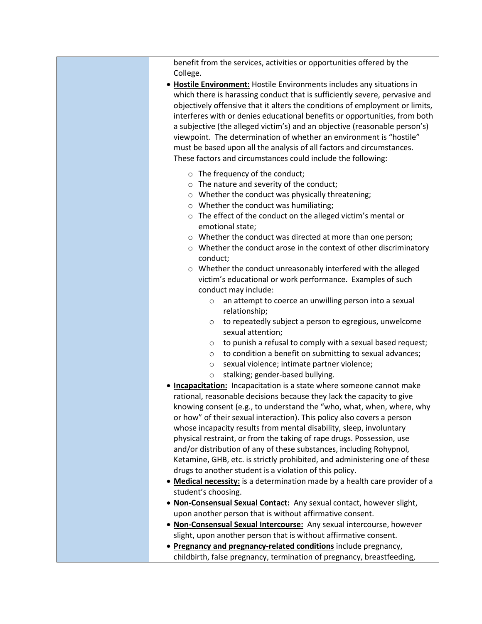| benefit from the services, activities or opportunities offered by the<br>College.                                                                                                                                                                                                                                                                                                                                                                                                                                                                                                                                                                                 |
|-------------------------------------------------------------------------------------------------------------------------------------------------------------------------------------------------------------------------------------------------------------------------------------------------------------------------------------------------------------------------------------------------------------------------------------------------------------------------------------------------------------------------------------------------------------------------------------------------------------------------------------------------------------------|
| • Hostile Environment: Hostile Environments includes any situations in<br>which there is harassing conduct that is sufficiently severe, pervasive and<br>objectively offensive that it alters the conditions of employment or limits,<br>interferes with or denies educational benefits or opportunities, from both<br>a subjective (the alleged victim's) and an objective (reasonable person's)<br>viewpoint. The determination of whether an environment is "hostile"<br>must be based upon all the analysis of all factors and circumstances.<br>These factors and circumstances could include the following:                                                 |
| $\circ$ The frequency of the conduct;<br>o The nature and severity of the conduct;<br>o Whether the conduct was physically threatening;<br>o Whether the conduct was humiliating;<br>o The effect of the conduct on the alleged victim's mental or<br>emotional state;<br>o Whether the conduct was directed at more than one person;<br>o Whether the conduct arose in the context of other discriminatory                                                                                                                                                                                                                                                       |
| conduct;<br>o Whether the conduct unreasonably interfered with the alleged<br>victim's educational or work performance. Examples of such<br>conduct may include:<br>an attempt to coerce an unwilling person into a sexual<br>$\circ$<br>relationship;                                                                                                                                                                                                                                                                                                                                                                                                            |
| to repeatedly subject a person to egregious, unwelcome<br>$\circ$<br>sexual attention;<br>to punish a refusal to comply with a sexual based request;<br>$\circ$<br>to condition a benefit on submitting to sexual advances;<br>$\circ$<br>sexual violence; intimate partner violence;<br>$\circ$<br>stalking; gender-based bullying.<br>$\circ$                                                                                                                                                                                                                                                                                                                   |
| . Incapacitation: Incapacitation is a state where someone cannot make<br>rational, reasonable decisions because they lack the capacity to give<br>knowing consent (e.g., to understand the "who, what, when, where, why<br>or how" of their sexual interaction). This policy also covers a person<br>whose incapacity results from mental disability, sleep, involuntary<br>physical restraint, or from the taking of rape drugs. Possession, use<br>and/or distribution of any of these substances, including Rohypnol,<br>Ketamine, GHB, etc. is strictly prohibited, and administering one of these<br>drugs to another student is a violation of this policy. |
| • Medical necessity: is a determination made by a health care provider of a<br>student's choosing.<br>. Non-Consensual Sexual Contact: Any sexual contact, however slight,<br>upon another person that is without affirmative consent.<br>. Non-Consensual Sexual Intercourse: Any sexual intercourse, however<br>slight, upon another person that is without affirmative consent.                                                                                                                                                                                                                                                                                |
| • Pregnancy and pregnancy-related conditions include pregnancy,<br>childbirth, false pregnancy, termination of pregnancy, breastfeeding,                                                                                                                                                                                                                                                                                                                                                                                                                                                                                                                          |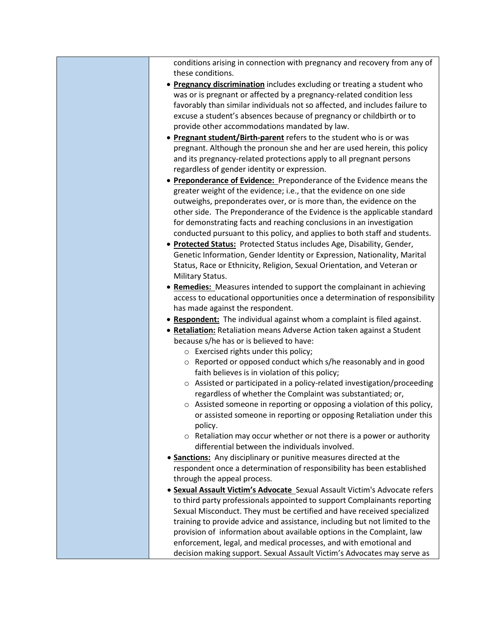conditions arising in connection with pregnancy and recovery from any of these conditions.

- **Pregnancy discrimination** includes excluding or treating a student who was or is pregnant or affected by a pregnancy-related condition less favorably than similar individuals not so affected, and includes failure to excuse a student's absences because of pregnancy or childbirth or to provide other accommodations mandated by law.
- **Pregnant student/Birth-parent** refers to the student who is or was pregnant. Although the pronoun she and her are used herein, this policy and its pregnancy-related protections apply to all pregnant persons regardless of gender identity or expression.
- **Preponderance of Evidence:** Preponderance of the Evidence means the greater weight of the evidence; i.e., that the evidence on one side outweighs, preponderates over, or is more than, the evidence on the other side. The Preponderance of the Evidence is the applicable standard for demonstrating facts and reaching conclusions in an investigation conducted pursuant to this policy, and applies to both staff and students.
- **Protected Status:** Protected Status includes Age, Disability, Gender, Genetic Information, Gender Identity or Expression, Nationality, Marital Status, Race or Ethnicity, Religion, Sexual Orientation, and Veteran or Military Status.
- **Remedies:** Measures intended to support the complainant in achieving access to educational opportunities once a determination of responsibility has made against the respondent.
- **Respondent:** The individual against whom a complaint is filed against.
- **Retaliation:** Retaliation means Adverse Action taken against a Student because s/he has or is believed to have:
	- o Exercised rights under this policy;
	- o Reported or opposed conduct which s/he reasonably and in good faith believes is in violation of this policy;
	- o Assisted or participated in a policy-related investigation/proceeding regardless of whether the Complaint was substantiated; or,
	- o Assisted someone in reporting or opposing a violation of this policy, or assisted someone in reporting or opposing Retaliation under this policy.
	- $\circ$  Retaliation may occur whether or not there is a power or authority differential between the individuals involved.
- **Sanctions:** Any disciplinary or punitive measures directed at the respondent once a determination of responsibility has been established through the appeal process.
- **Sexual Assault Victim's Advocate** Sexual Assault Victim's Advocate refers to third party professionals appointed to support Complainants reporting Sexual Misconduct. They must be certified and have received specialized training to provide advice and assistance, including but not limited to the provision of information about available options in the Complaint, law enforcement, legal, and medical processes, and with emotional and decision making support. Sexual Assault Victim's Advocates may serve as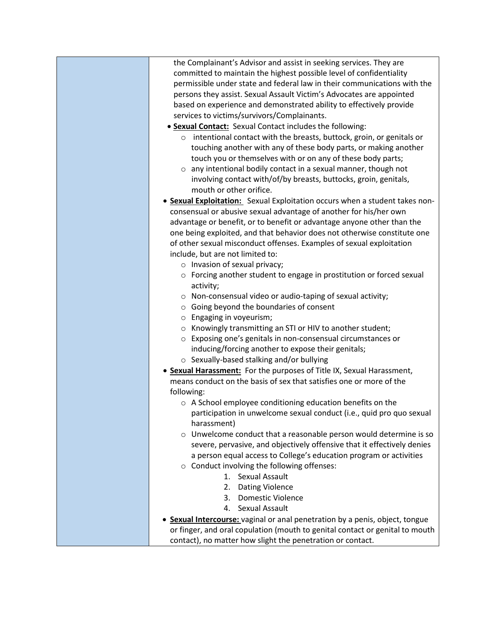| the Complainant's Advisor and assist in seeking services. They are           |
|------------------------------------------------------------------------------|
| committed to maintain the highest possible level of confidentiality          |
| permissible under state and federal law in their communications with the     |
| persons they assist. Sexual Assault Victim's Advocates are appointed         |
| based on experience and demonstrated ability to effectively provide          |
| services to victims/survivors/Complainants.                                  |
| • Sexual Contact: Sexual Contact includes the following:                     |
| o intentional contact with the breasts, buttock, groin, or genitals or       |
| touching another with any of these body parts, or making another             |
| touch you or themselves with or on any of these body parts;                  |
| $\circ$ any intentional bodily contact in a sexual manner, though not        |
| involving contact with/of/by breasts, buttocks, groin, genitals,             |
| mouth or other orifice.                                                      |
| • Sexual Exploitation: Sexual Exploitation occurs when a student takes non-  |
| consensual or abusive sexual advantage of another for his/her own            |
| advantage or benefit, or to benefit or advantage anyone other than the       |
|                                                                              |
| one being exploited, and that behavior does not otherwise constitute one     |
| of other sexual misconduct offenses. Examples of sexual exploitation         |
| include, but are not limited to:                                             |
| $\circ$ Invasion of sexual privacy;                                          |
| o Forcing another student to engage in prostitution or forced sexual         |
| activity;                                                                    |
| o Non-consensual video or audio-taping of sexual activity;                   |
| $\circ$ Going beyond the boundaries of consent                               |
| $\circ$ Engaging in voyeurism;                                               |
| ○ Knowingly transmitting an STI or HIV to another student;                   |
| ○ Exposing one's genitals in non-consensual circumstances or                 |
| inducing/forcing another to expose their genitals;                           |
| ○ Sexually-based stalking and/or bullying                                    |
| • Sexual Harassment: For the purposes of Title IX, Sexual Harassment,        |
| means conduct on the basis of sex that satisfies one or more of the          |
| following:                                                                   |
| o A School employee conditioning education benefits on the                   |
| participation in unwelcome sexual conduct (i.e., quid pro quo sexual         |
| harassment)                                                                  |
| o Unwelcome conduct that a reasonable person would determine is so           |
| severe, pervasive, and objectively offensive that it effectively denies      |
| a person equal access to College's education program or activities           |
| ○ Conduct involving the following offenses:                                  |
| <b>Sexual Assault</b><br>1.                                                  |
| 2. Dating Violence                                                           |
| 3. Domestic Violence                                                         |
| 4. Sexual Assault                                                            |
| Sexual Intercourse: vaginal or anal penetration by a penis, object, tongue   |
| or finger, and oral copulation (mouth to genital contact or genital to mouth |
| contact), no matter how slight the penetration or contact.                   |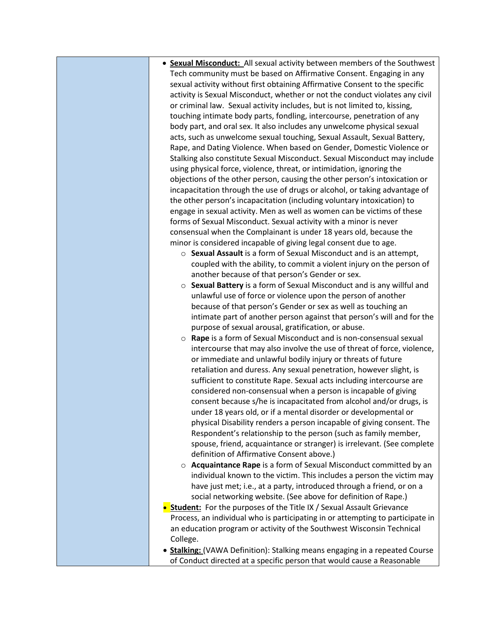- **Sexual Misconduct:** All sexual activity between members of the Southwest Tech community must be based on Affirmative Consent. Engaging in any sexual activity without first obtaining Affirmative Consent to the specific activity is Sexual Misconduct, whether or not the conduct violates any civil or criminal law. Sexual activity includes, but is not limited to, kissing, touching intimate body parts, fondling, intercourse, penetration of any body part, and oral sex. It also includes any unwelcome physical sexual acts, such as unwelcome sexual touching, Sexual Assault, Sexual Battery, Rape, and Dating Violence. When based on Gender, Domestic Violence or Stalking also constitute Sexual Misconduct. Sexual Misconduct may include using physical force, violence, threat, or intimidation, ignoring the objections of the other person, causing the other person's intoxication or incapacitation through the use of drugs or alcohol, or taking advantage of the other person's incapacitation (including voluntary intoxication) to engage in sexual activity. Men as well as women can be victims of these forms of Sexual Misconduct. Sexual activity with a minor is never consensual when the Complainant is under 18 years old, because the minor is considered incapable of giving legal consent due to age. o **Sexual Assault** is a form of Sexual Misconduct and is an attempt, coupled with the ability, to commit a violent injury on the person of another because of that person's Gender or sex. o **Sexual Battery** is a form of Sexual Misconduct and is any willful and unlawful use of force or violence upon the person of another because of that person's Gender or sex as well as touching an intimate part of another person against that person's will and for the purpose of sexual arousal, gratification, or abuse. o **Rape** is a form of Sexual Misconduct and is non-consensual sexual intercourse that may also involve the use of threat of force, violence, or immediate and unlawful bodily injury or threats of future retaliation and duress. Any sexual penetration, however slight, is sufficient to constitute Rape. Sexual acts including intercourse are considered non-consensual when a person is incapable of giving consent because s/he is incapacitated from alcohol and/or drugs, is under 18 years old, or if a mental disorder or developmental or physical Disability renders a person incapable of giving consent. The Respondent's relationship to the person (such as family member, spouse, friend, acquaintance or stranger) is irrelevant. (See complete definition of Affirmative Consent above.) o **Acquaintance Rape** is a form of Sexual Misconduct committed by an individual known to the victim. This includes a person the victim may have just met; i.e., at a party, introduced through a friend, or on a social networking website. (See above for definition of Rape.) **• Student:** For the purposes of the Title IX / Sexual Assault Grievance Process, an individual who is participating in or attempting to participate in an education program or activity of the Southwest Wisconsin Technical College. • **Stalking:** (VAWA Definition): Stalking means engaging in a repeated Course
	- of Conduct directed at a specific person that would cause a Reasonable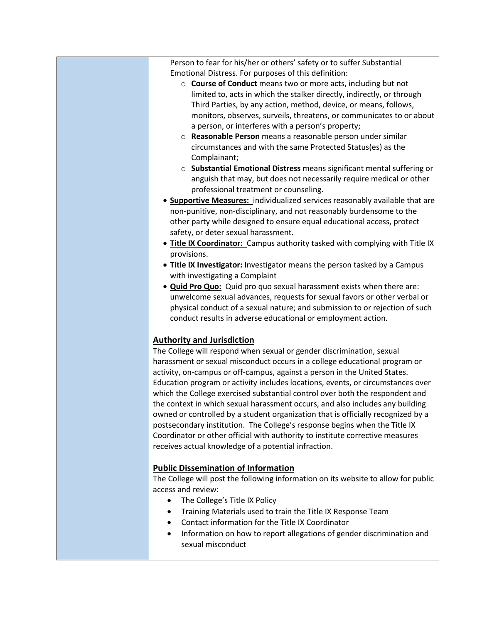Person to fear for his/her or others' safety or to suffer Substantial Emotional Distress. For purposes of this definition: o **Course of Conduct** means two or more acts, including but not limited to, acts in which the stalker directly, indirectly, or through Third Parties, by any action, method, device, or means, follows, monitors, observes, surveils, threatens, or communicates to or about a person, or interferes with a person's property; o **Reasonable Person** means a reasonable person under similar circumstances and with the same Protected Status(es) as the Complainant; o **Substantial Emotional Distress** means significant mental suffering or anguish that may, but does not necessarily require medical or other professional treatment or counseling. • **Supportive Measures:** individualized services reasonably available that are non-punitive, non-disciplinary, and not reasonably burdensome to the other party while designed to ensure equal educational access, protect safety, or deter sexual harassment. • **Title IX Coordinator:** Campus authority tasked with complying with Title IX provisions. • **Title IX Investigator:** Investigator means the person tasked by a Campus with investigating a Complaint • **Quid Pro Quo:** Quid pro quo sexual harassment exists when there are: unwelcome sexual advances, requests for sexual favors or other verbal or physical conduct of a sexual nature; and submission to or rejection of such conduct results in adverse educational or employment action. **Authority and Jurisdiction** The College will respond when sexual or gender discrimination, sexual harassment or sexual misconduct occurs in a college educational program or activity, on-campus or off-campus, against a person in the United States. Education program or activity includes locations, events, or circumstances over which the College exercised substantial control over both the respondent and the context in which sexual harassment occurs, and also includes any building owned or controlled by a student organization that is officially recognized by a postsecondary institution. The College's response begins when the Title IX Coordinator or other official with authority to institute corrective measures

## **Public Dissemination of Information**

receives actual knowledge of a potential infraction.

The College will post the following information on its website to allow for public access and review:

- The College's Title IX Policy
- Training Materials used to train the Title IX Response Team
- Contact information for the Title IX Coordinator
- Information on how to report allegations of gender discrimination and sexual misconduct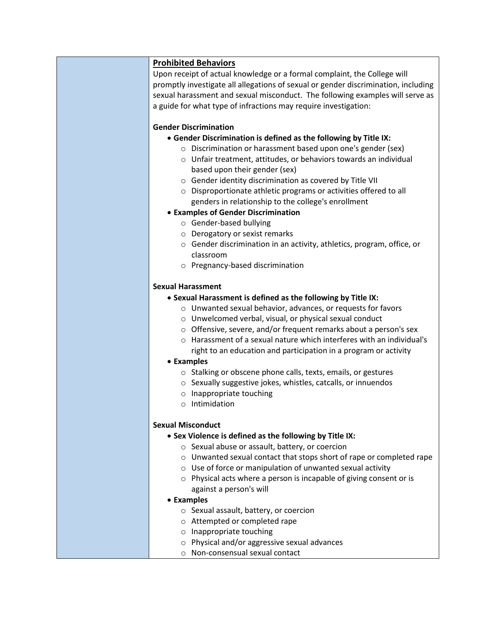## **Prohibited Behaviors**

Upon receipt of actual knowledge or a formal complaint, the College will promptly investigate all allegations of sexual or gender discrimination, including sexual harassment and sexual misconduct. The following examples will serve as a guide for what type of infractions may require investigation:

#### **Gender Discrimination**

- **Gender Discrimination is defined as the following by Title IX:**
	- o Discrimination or harassment based upon one's gender (sex)
	- o Unfair treatment, attitudes, or behaviors towards an individual based upon their gender (sex)
	- o Gender identity discrimination as covered by Title VII
	- o Disproportionate athletic programs or activities offered to all genders in relationship to the college's enrollment

## • **Examples of Gender Discrimination**

- o Gender-based bullying
- o Derogatory or sexist remarks
- o Gender discrimination in an activity, athletics, program, office, or classroom
- o Pregnancy-based discrimination

#### **Sexual Harassment**

## • **Sexual Harassment is defined as the following by Title IX:**

- o Unwanted sexual behavior, advances, or requests for favors
- o Unwelcomed verbal, visual, or physical sexual conduct
- o Offensive, severe, and/or frequent remarks about a person's sex
- o Harassment of a sexual nature which interferes with an individual's right to an education and participation in a program or activity

#### • **Examples**

- o Stalking or obscene phone calls, texts, emails, or gestures
- o Sexually suggestive jokes, whistles, catcalls, or innuendos
- o Inappropriate touching
- o Intimidation

## **Sexual Misconduct**

- **Sex Violence is defined as the following by Title IX:**
	- o Sexual abuse or assault, battery, or coercion
	- o Unwanted sexual contact that stops short of rape or completed rape
	- o Use of force or manipulation of unwanted sexual activity
	- o Physical acts where a person is incapable of giving consent or is against a person's will
- **Examples**
	- o Sexual assault, battery, or coercion
	- o Attempted or completed rape
	- o Inappropriate touching
	- o Physical and/or aggressive sexual advances
	- o Non-consensual sexual contact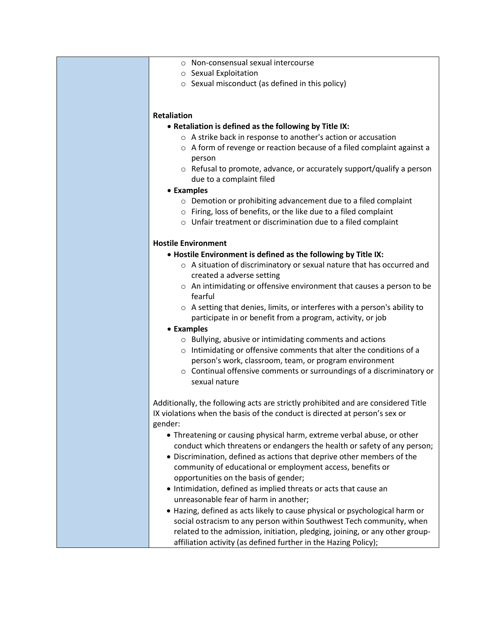- o Non-consensual sexual intercourse
- o Sexual Exploitation
- o Sexual misconduct (as defined in this policy)

#### **Retaliation**

- **Retaliation is defined as the following by Title IX:**
	- o A strike back in response to another's action or accusation
	- o A form of revenge or reaction because of a filed complaint against a person
	- o Refusal to promote, advance, or accurately support/qualify a person due to a complaint filed
- **Examples**
	- o Demotion or prohibiting advancement due to a filed complaint
	- o Firing, loss of benefits, or the like due to a filed complaint
	- o Unfair treatment or discrimination due to a filed complaint

#### **Hostile Environment**

- **Hostile Environment is defined as the following by Title IX:**
	- o A situation of discriminatory or sexual nature that has occurred and created a adverse setting
	- o An intimidating or offensive environment that causes a person to be fearful
	- o A setting that denies, limits, or interferes with a person's ability to participate in or benefit from a program, activity, or job

#### • **Examples**

- o Bullying, abusive or intimidating comments and actions
- o Intimidating or offensive comments that alter the conditions of a person's work, classroom, team, or program environment
- o Continual offensive comments or surroundings of a discriminatory or sexual nature

Additionally, the following acts are strictly prohibited and are considered Title IX violations when the basis of the conduct is directed at person's sex or gender:

- Threatening or causing physical harm, extreme verbal abuse, or other conduct which threatens or endangers the health or safety of any person;
- Discrimination, defined as actions that deprive other members of the community of educational or employment access, benefits or opportunities on the basis of gender;
- Intimidation, defined as implied threats or acts that cause an unreasonable fear of harm in another;
- Hazing, defined as acts likely to cause physical or psychological harm or social ostracism to any person within Southwest Tech community, when related to the admission, initiation, pledging, joining, or any other groupaffiliation activity (as defined further in the Hazing Policy);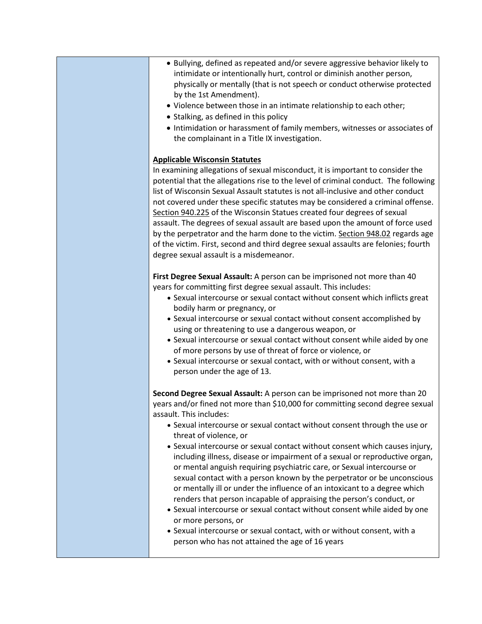- Bullying, defined as repeated and/or severe aggressive behavior likely to intimidate or intentionally hurt, control or diminish another person, physically or mentally (that is not speech or conduct otherwise protected by the 1st Amendment).
- Violence between those in an intimate relationship to each other;
- Stalking, as defined in this policy
- Intimidation or harassment of family members, witnesses or associates of the complainant in a Title IX investigation.

#### **Applicable Wisconsin Statutes**

In examining allegations of sexual misconduct, it is important to consider the potential that the allegations rise to the level of criminal conduct. The following list of Wisconsin Sexual Assault statutes is not all-inclusive and other conduct not covered under these specific statutes may be considered a criminal offense. [Section 940.225](http://www.legis.state.wi.us/statutes/Stat0940.pdf) of the Wisconsin Statues created four degrees of sexual assault. The degrees of sexual assault are based upon the amount of force used by the perpetrator and the harm done to the victim. [Section 948.02](http://www.legis.state.wi.us/statutes/Stat0948.pdf) regards age of the victim. First, second and third degree sexual assaults are felonies; fourth degree sexual assault is a misdemeanor.

**First Degree Sexual Assault:** A person can be imprisoned not more than 40 years for committing first degree sexual assault. This includes:

- Sexual intercourse or sexual contact without consent which inflicts great bodily harm or pregnancy, or
- Sexual intercourse or sexual contact without consent accomplished by using or threatening to use a dangerous weapon, or
- Sexual intercourse or sexual contact without consent while aided by one of more persons by use of threat of force or violence, or
- Sexual intercourse or sexual contact, with or without consent, with a person under the age of 13.

**Second Degree Sexual Assault:** A person can be imprisoned not more than 20 years and/or fined not more than \$10,000 for committing second degree sexual assault. This includes:

- Sexual intercourse or sexual contact without consent through the use or threat of violence, or
- Sexual intercourse or sexual contact without consent which causes injury, including illness, disease or impairment of a sexual or reproductive organ, or mental anguish requiring psychiatric care, or Sexual intercourse or sexual contact with a person known by the perpetrator or be unconscious or mentally ill or under the influence of an intoxicant to a degree which renders that person incapable of appraising the person's conduct, or
- Sexual intercourse or sexual contact without consent while aided by one or more persons, or
- Sexual intercourse or sexual contact, with or without consent, with a person who has not attained the age of 16 years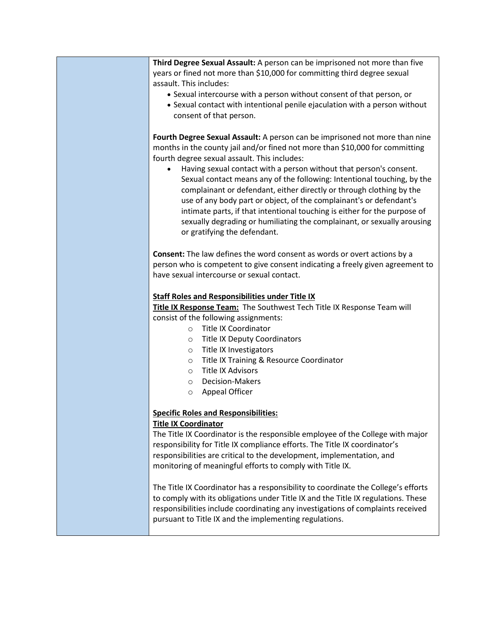**Third Degree Sexual Assault:** A person can be imprisoned not more than five years or fined not more than \$10,000 for committing third degree sexual assault. This includes: • Sexual intercourse with a person without consent of that person, or • Sexual contact with intentional penile ejaculation with a person without consent of that person. **Fourth Degree Sexual Assault:** A person can be imprisoned not more than nine months in the county jail and/or fined not more than \$10,000 for committing fourth degree sexual assault. This includes: • Having sexual contact with a person without that person's consent. Sexual contact means any of the following: Intentional touching, by the complainant or defendant, either directly or through clothing by the use of any body part or object, of the complainant's or defendant's intimate parts, if that intentional touching is either for the purpose of sexually degrading or humiliating the complainant, or sexually arousing or gratifying the defendant. **Consent:** The law defines the word consent as words or overt actions by a person who is competent to give consent indicating a freely given agreement to have sexual intercourse or sexual contact. **Staff Roles and Responsibilities under Title IX Title IX Response Team:** The Southwest Tech Title IX Response Team will consist of the following assignments: o Title IX Coordinator o Title IX Deputy Coordinators o Title IX Investigators o Title IX Training & Resource Coordinator o Title IX Advisors o Decision-Makers o Appeal Officer **Specific Roles and Responsibilities: Title IX Coordinator** The Title IX Coordinator is the responsible employee of the College with major responsibility for Title IX compliance efforts. The Title IX coordinator's responsibilities are critical to the development, implementation, and monitoring of meaningful efforts to comply with Title IX. The Title IX Coordinator has a responsibility to coordinate the College's efforts to comply with its obligations under Title IX and the Title IX regulations. These responsibilities include coordinating any investigations of complaints received pursuant to Title IX and the implementing regulations.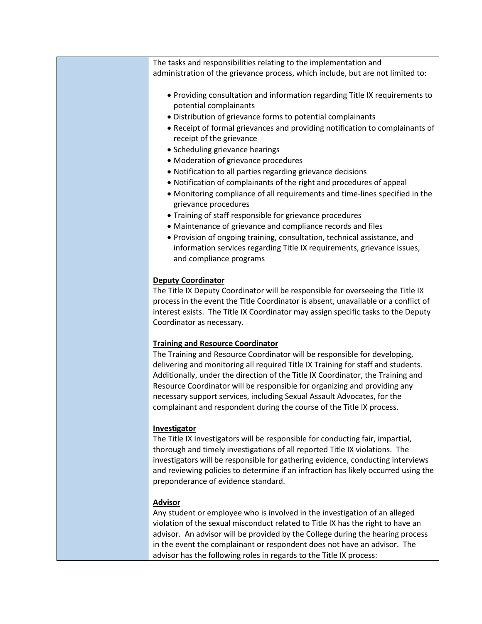The tasks and responsibilities relating to the implementation and administration of the grievance process, which include, but are not limited to:

- Providing consultation and information regarding Title IX requirements to potential complainants
- Distribution of grievance forms to potential complainants
- Receipt of formal grievances and providing notification to complainants of receipt of the grievance
- Scheduling grievance hearings
- Moderation of grievance procedures
- Notification to all parties regarding grievance decisions
- Notification of complainants of the right and procedures of appeal
- Monitoring compliance of all requirements and time-lines specified in the grievance procedures
- Training of staff responsible for grievance procedures
- Maintenance of grievance and compliance records and files
- Provision of ongoing training, consultation, technical assistance, and information services regarding Title IX requirements, grievance issues, and compliance programs

#### **Deputy Coordinator**

The Title IX Deputy Coordinator will be responsible for overseeing the Title IX process in the event the Title Coordinator is absent, unavailable or a conflict of interest exists. The Title IX Coordinator may assign specific tasks to the Deputy Coordinator as necessary.

#### **Training and Resource Coordinator**

The Training and Resource Coordinator will be responsible for developing, delivering and monitoring all required Title IX Training for staff and students. Additionally, under the direction of the Title IX Coordinator, the Training and Resource Coordinator will be responsible for organizing and providing any necessary support services, including Sexual Assault Advocates, for the complainant and respondent during the course of the Title IX process.

#### **Investigator**

The Title IX Investigators will be responsible for conducting fair, impartial, thorough and timely investigations of all reported Title IX violations. The investigators will be responsible for gathering evidence, conducting interviews and reviewing policies to determine if an infraction has likely occurred using the preponderance of evidence standard.

#### **Advisor**

Any student or employee who is involved in the investigation of an alleged violation of the sexual misconduct related to Title IX has the right to have an advisor. An advisor will be provided by the College during the hearing process in the event the complainant or respondent does not have an advisor. The advisor has the following roles in regards to the Title IX process: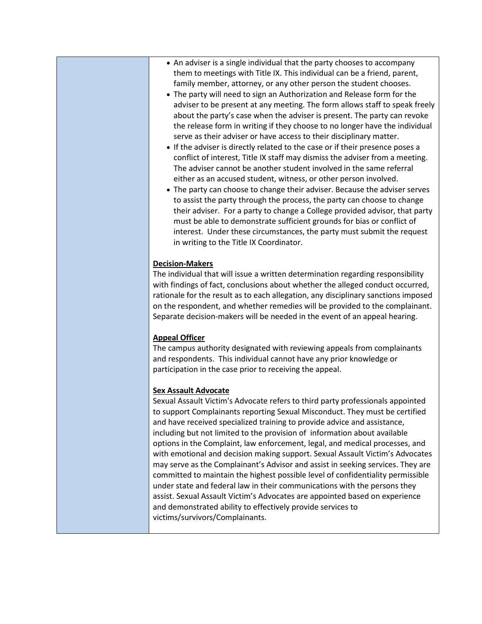- An adviser is a single individual that the party chooses to accompany them to meetings with Title IX. This individual can be a friend, parent, family member, attorney, or any other person the student chooses.
- The party will need to sign an Authorization and Release form for the adviser to be present at any meeting. The form allows staff to speak freely about the party's case when the adviser is present. The party can revoke the release form in writing if they choose to no longer have the individual serve as their adviser or have access to their disciplinary matter.
- If the adviser is directly related to the case or if their presence poses a conflict of interest, Title IX staff may dismiss the adviser from a meeting. The adviser cannot be another student involved in the same referral either as an accused student, witness, or other person involved.
- The party can choose to change their adviser. Because the adviser serves to assist the party through the process, the party can choose to change their adviser. For a party to change a College provided advisor, that party must be able to demonstrate sufficient grounds for bias or conflict of interest. Under these circumstances, the party must submit the request in writing to the Title IX Coordinator.

#### **Decision-Makers**

The individual that will issue a written determination regarding responsibility with findings of fact, conclusions about whether the alleged conduct occurred, rationale for the result as to each allegation, any disciplinary sanctions imposed on the respondent, and whether remedies will be provided to the complainant. Separate decision-makers will be needed in the event of an appeal hearing.

#### **Appeal Officer**

The campus authority designated with reviewing appeals from complainants and respondents. This individual cannot have any prior knowledge or participation in the case prior to receiving the appeal.

#### **Sex Assault Advocate**

Sexual Assault Victim's Advocate refers to third party professionals appointed to support Complainants reporting Sexual Misconduct. They must be certified and have received specialized training to provide advice and assistance, including but not limited to the provision of information about available options in the Complaint, law enforcement, legal, and medical processes, and with emotional and decision making support. Sexual Assault Victim's Advocates may serve as the Complainant's Advisor and assist in seeking services. They are committed to maintain the highest possible level of confidentiality permissible under state and federal law in their communications with the persons they assist. Sexual Assault Victim's Advocates are appointed based on experience and demonstrated ability to effectively provide services to victims/survivors/Complainants.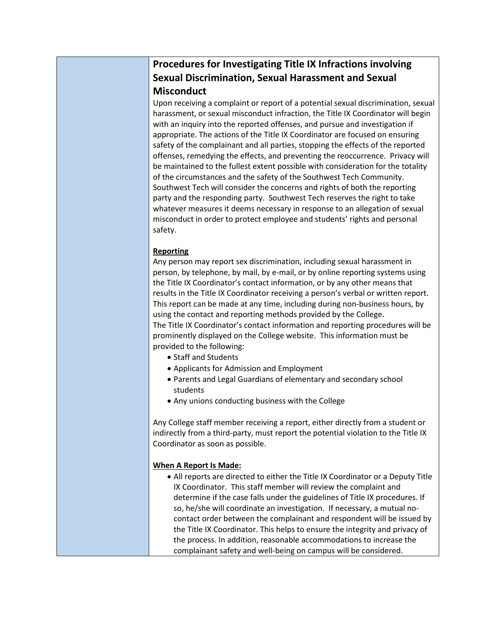# **Procedures for Investigating Title IX Infractions involving Sexual Discrimination, Sexual Harassment and Sexual Misconduct**

Upon receiving a complaint or report of a potential sexual discrimination, sexual harassment, or sexual misconduct infraction, the Title IX Coordinator will begin with an inquiry into the reported offenses, and pursue and investigation if appropriate. The actions of the Title IX Coordinator are focused on ensuring safety of the complainant and all parties, stopping the effects of the reported offenses, remedying the effects, and preventing the reoccurrence. Privacy will be maintained to the fullest extent possible with consideration for the totality of the circumstances and the safety of the Southwest Tech Community. Southwest Tech will consider the concerns and rights of both the reporting party and the responding party. Southwest Tech reserves the right to take whatever measures it deems necessary in response to an allegation of sexual misconduct in order to protect employee and students' rights and personal safety.

## **Reporting**

Any person may report sex discrimination, including sexual harassment in person, by telephone, by mail, by e-mail, or by online reporting systems using the Title IX Coordinator's contact information, or by any other means that results in the Title IX Coordinator receiving a person's verbal or written report. This report can be made at any time, including during non-business hours, by using the contact and reporting methods provided by the College. The Title IX Coordinator's contact information and reporting procedures will be prominently displayed on the College website. This information must be provided to the following:

- Staff and Students
- Applicants for Admission and Employment
- Parents and Legal Guardians of elementary and secondary school students
- Any unions conducting business with the College

Any College staff member receiving a report, either directly from a student or indirectly from a third-party, must report the potential violation to the Title IX Coordinator as soon as possible.

## **When A Report Is Made:**

• All reports are directed to either the Title IX Coordinator or a Deputy Title IX Coordinator. This staff member will review the complaint and determine if the case falls under the guidelines of Title IX procedures. If so, he/she will coordinate an investigation. If necessary, a mutual nocontact order between the complainant and respondent will be issued by the Title IX Coordinator. This helps to ensure the integrity and privacy of the process. In addition, reasonable accommodations to increase the complainant safety and well-being on campus will be considered.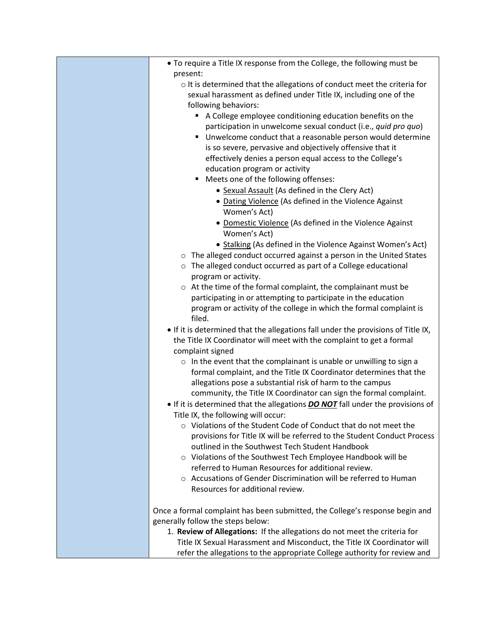| • To require a Title IX response from the College, the following must be          |
|-----------------------------------------------------------------------------------|
| present:                                                                          |
| o It is determined that the allegations of conduct meet the criteria for          |
| sexual harassment as defined under Title IX, including one of the                 |
| following behaviors:                                                              |
| A College employee conditioning education benefits on the                         |
| participation in unwelcome sexual conduct (i.e., quid pro quo)                    |
| Unwelcome conduct that a reasonable person would determine                        |
| is so severe, pervasive and objectively offensive that it                         |
| effectively denies a person equal access to the College's                         |
| education program or activity                                                     |
| Meets one of the following offenses:<br>٠                                         |
| • Sexual Assault (As defined in the Clery Act)                                    |
| • Dating Violence (As defined in the Violence Against                             |
| Women's Act)                                                                      |
| • Domestic Violence (As defined in the Violence Against                           |
| Women's Act)                                                                      |
| • Stalking (As defined in the Violence Against Women's Act)                       |
| o The alleged conduct occurred against a person in the United States              |
| o The alleged conduct occurred as part of a College educational                   |
| program or activity.                                                              |
| o At the time of the formal complaint, the complainant must be                    |
| participating in or attempting to participate in the education                    |
| program or activity of the college in which the formal complaint is               |
| filed.                                                                            |
| . If it is determined that the allegations fall under the provisions of Title IX, |
| the Title IX Coordinator will meet with the complaint to get a formal             |
| complaint signed                                                                  |
| $\circ$ In the event that the complainant is unable or unwilling to sign a        |
| formal complaint, and the Title IX Coordinator determines that the                |
| allegations pose a substantial risk of harm to the campus                         |
| community, the Title IX Coordinator can sign the formal complaint.                |
| • If it is determined that the allegations DO NOT fall under the provisions of    |
| Title IX, the following will occur:                                               |
| ○ Violations of the Student Code of Conduct that do not meet the                  |
| provisions for Title IX will be referred to the Student Conduct Process           |
| outlined in the Southwest Tech Student Handbook                                   |
| o Violations of the Southwest Tech Employee Handbook will be                      |
| referred to Human Resources for additional review.                                |
| ○ Accusations of Gender Discrimination will be referred to Human                  |
| Resources for additional review.                                                  |
| Once a formal complaint has been submitted, the College's response begin and      |
| generally follow the steps below:                                                 |
| 1. Review of Allegations: If the allegations do not meet the criteria for         |
| Title IX Sexual Harassment and Misconduct, the Title IX Coordinator will          |
| refer the allegations to the appropriate College authority for review and         |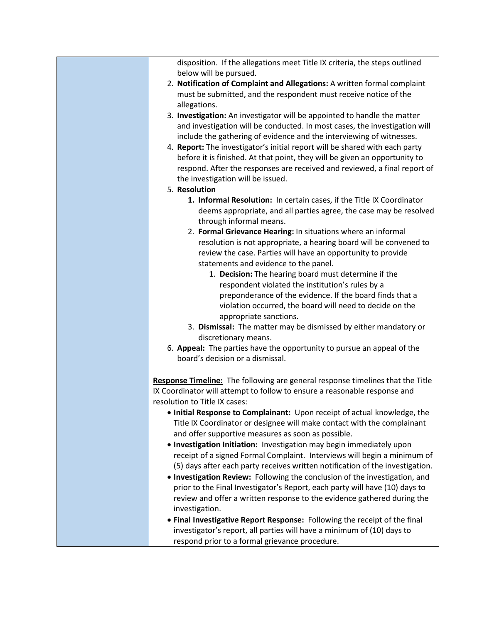| disposition. If the allegations meet Title IX criteria, the steps outlined                                                                          |
|-----------------------------------------------------------------------------------------------------------------------------------------------------|
| below will be pursued.<br>2. Notification of Complaint and Allegations: A written formal complaint                                                  |
| must be submitted, and the respondent must receive notice of the                                                                                    |
| allegations.                                                                                                                                        |
| 3. Investigation: An investigator will be appointed to handle the matter                                                                            |
| and investigation will be conducted. In most cases, the investigation will                                                                          |
| include the gathering of evidence and the interviewing of witnesses.                                                                                |
| 4. Report: The investigator's initial report will be shared with each party                                                                         |
| before it is finished. At that point, they will be given an opportunity to                                                                          |
| respond. After the responses are received and reviewed, a final report of                                                                           |
| the investigation will be issued.                                                                                                                   |
| 5. Resolution                                                                                                                                       |
| 1. Informal Resolution: In certain cases, if the Title IX Coordinator                                                                               |
| deems appropriate, and all parties agree, the case may be resolved                                                                                  |
| through informal means.                                                                                                                             |
| 2. Formal Grievance Hearing: In situations where an informal                                                                                        |
| resolution is not appropriate, a hearing board will be convened to                                                                                  |
| review the case. Parties will have an opportunity to provide                                                                                        |
| statements and evidence to the panel.                                                                                                               |
| 1. Decision: The hearing board must determine if the                                                                                                |
| respondent violated the institution's rules by a                                                                                                    |
| preponderance of the evidence. If the board finds that a                                                                                            |
| violation occurred, the board will need to decide on the<br>appropriate sanctions.                                                                  |
| 3. Dismissal: The matter may be dismissed by either mandatory or                                                                                    |
| discretionary means.                                                                                                                                |
| 6. Appeal: The parties have the opportunity to pursue an appeal of the                                                                              |
| board's decision or a dismissal.                                                                                                                    |
|                                                                                                                                                     |
| Response Timeline: The following are general response timelines that the Title                                                                      |
| IX Coordinator will attempt to follow to ensure a reasonable response and                                                                           |
| resolution to Title IX cases:                                                                                                                       |
| . Initial Response to Complainant: Upon receipt of actual knowledge, the                                                                            |
| Title IX Coordinator or designee will make contact with the complainant                                                                             |
| and offer supportive measures as soon as possible.                                                                                                  |
| . Investigation Initiation: Investigation may begin immediately upon                                                                                |
| receipt of a signed Formal Complaint. Interviews will begin a minimum of                                                                            |
| (5) days after each party receives written notification of the investigation.                                                                       |
| . Investigation Review: Following the conclusion of the investigation, and                                                                          |
| prior to the Final Investigator's Report, each party will have (10) days to                                                                         |
| review and offer a written response to the evidence gathered during the                                                                             |
| investigation.                                                                                                                                      |
| • Final Investigative Report Response: Following the receipt of the final<br>investigator's report, all parties will have a minimum of (10) days to |
| respond prior to a formal grievance procedure.                                                                                                      |
|                                                                                                                                                     |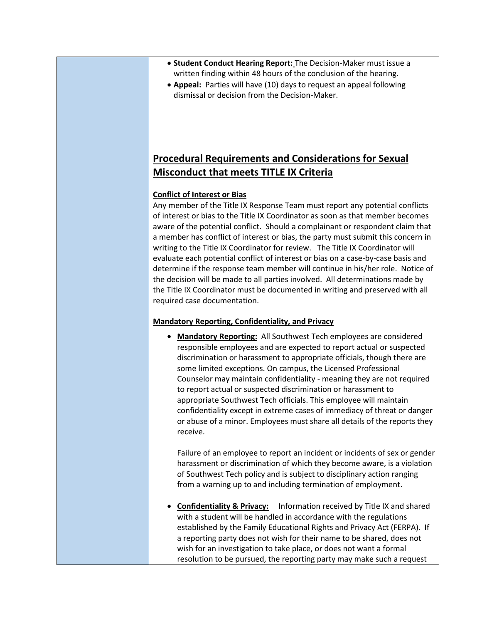- **Student Conduct Hearing Report:** The Decision-Maker must issue a written finding within 48 hours of the conclusion of the hearing.
- **Appeal:** Parties will have (10) days to request an appeal following dismissal or decision from the Decision-Maker.

## **Procedural Requirements and Considerations for Sexual Misconduct that meets TITLE IX Criteria**

#### **Conflict of Interest or Bias**

Any member of the Title IX Response Team must report any potential conflicts of interest or bias to the Title IX Coordinator as soon as that member becomes aware of the potential conflict. Should a complainant or respondent claim that a member has conflict of interest or bias, the party must submit this concern in writing to the Title IX Coordinator for review. The Title IX Coordinator will evaluate each potential conflict of interest or bias on a case-by-case basis and determine if the response team member will continue in his/her role. Notice of the decision will be made to all parties involved. All determinations made by the Title IX Coordinator must be documented in writing and preserved with all required case documentation.

#### **Mandatory Reporting, Confidentiality, and Privacy**

• **Mandatory Reporting:** All Southwest Tech employees are considered responsible employees and are expected to report actual or suspected discrimination or harassment to appropriate officials, though there are some limited exceptions. On campus, the Licensed Professional Counselor may maintain confidentiality - meaning they are not required to report actual or suspected discrimination or harassment to appropriate Southwest Tech officials. This employee will maintain confidentiality except in extreme cases of immediacy of threat or danger or abuse of a minor. Employees must share all details of the reports they receive.

Failure of an employee to report an incident or incidents of sex or gender harassment or discrimination of which they become aware, is a violation of Southwest Tech policy and is subject to disciplinary action ranging from a warning up to and including termination of employment.

• **Confidentiality & Privacy:** Information received by Title IX and shared with a student will be handled in accordance with the regulations established by the Family Educational Rights and Privacy Act (FERPA). If a reporting party does not wish for their name to be shared, does not wish for an investigation to take place, or does not want a formal resolution to be pursued, the reporting party may make such a request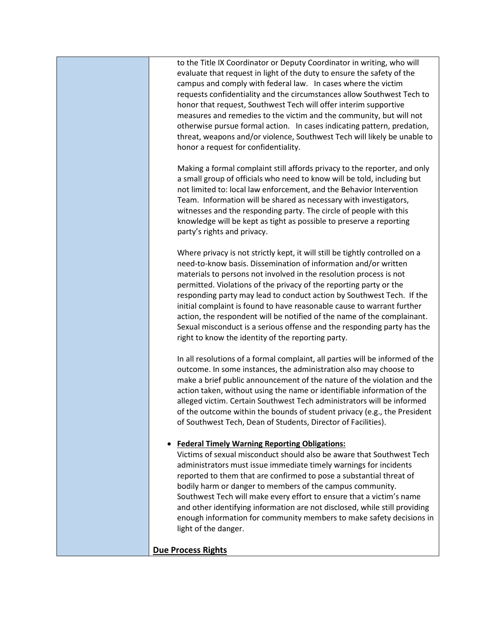to the Title IX Coordinator or Deputy Coordinator in writing, who will evaluate that request in light of the duty to ensure the safety of the campus and comply with federal law. In cases where the victim requests confidentiality and the circumstances allow Southwest Tech to honor that request, Southwest Tech will offer interim supportive measures and remedies to the victim and the community, but will not otherwise pursue formal action. In cases indicating pattern, predation, threat, weapons and/or violence, Southwest Tech will likely be unable to honor a request for confidentiality.

Making a formal complaint still affords privacy to the reporter, and only a small group of officials who need to know will be told, including but not limited to: local law enforcement, and the Behavior Intervention Team. Information will be shared as necessary with investigators, witnesses and the responding party. The circle of people with this knowledge will be kept as tight as possible to preserve a reporting party's rights and privacy.

Where privacy is not strictly kept, it will still be tightly controlled on a need-to-know basis. Dissemination of information and/or written materials to persons not involved in the resolution process is not permitted. Violations of the privacy of the reporting party or the responding party may lead to conduct action by Southwest Tech. If the initial complaint is found to have reasonable cause to warrant further action, the respondent will be notified of the name of the complainant. Sexual misconduct is a serious offense and the responding party has the right to know the identity of the reporting party.

In all resolutions of a formal complaint, all parties will be informed of the outcome. In some instances, the administration also may choose to make a brief public announcement of the nature of the violation and the action taken, without using the name or identifiable information of the alleged victim. Certain Southwest Tech administrators will be informed of the outcome within the bounds of student privacy (e.g., the President of Southwest Tech, Dean of Students, Director of Facilities).

## • **Federal Timely Warning Reporting Obligations:**

Victims of sexual misconduct should also be aware that Southwest Tech administrators must issue immediate timely warnings for incidents reported to them that are confirmed to pose a substantial threat of bodily harm or danger to members of the campus community. Southwest Tech will make every effort to ensure that a victim's name and other identifying information are not disclosed, while still providing enough information for community members to make safety decisions in light of the danger.

## **Due Process Rights**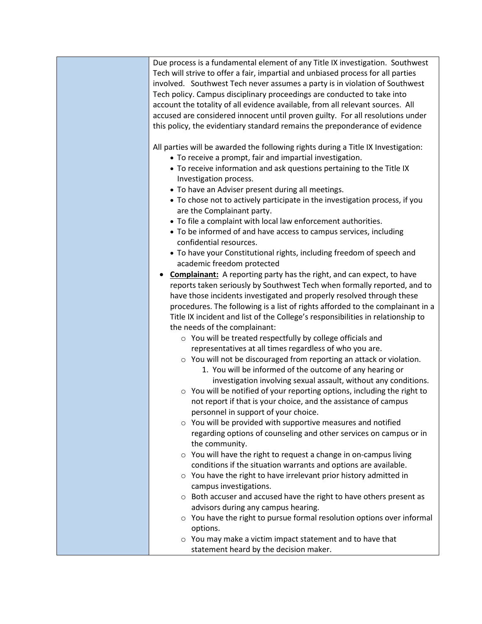| Due process is a fundamental element of any Title IX investigation. Southwest<br>Tech will strive to offer a fair, impartial and unbiased process for all parties<br>involved. Southwest Tech never assumes a party is in violation of Southwest<br>Tech policy. Campus disciplinary proceedings are conducted to take into<br>account the totality of all evidence available, from all relevant sources. All<br>accused are considered innocent until proven guilty. For all resolutions under<br>this policy, the evidentiary standard remains the preponderance of evidence                                                                                                                                                                                                                                                                                                                                                                                                                                                                                                                                                                                                                                                                                                                                                                                                                                                                                                                                                                                                                                                                                                                                                           |
|------------------------------------------------------------------------------------------------------------------------------------------------------------------------------------------------------------------------------------------------------------------------------------------------------------------------------------------------------------------------------------------------------------------------------------------------------------------------------------------------------------------------------------------------------------------------------------------------------------------------------------------------------------------------------------------------------------------------------------------------------------------------------------------------------------------------------------------------------------------------------------------------------------------------------------------------------------------------------------------------------------------------------------------------------------------------------------------------------------------------------------------------------------------------------------------------------------------------------------------------------------------------------------------------------------------------------------------------------------------------------------------------------------------------------------------------------------------------------------------------------------------------------------------------------------------------------------------------------------------------------------------------------------------------------------------------------------------------------------------|
| All parties will be awarded the following rights during a Title IX Investigation:<br>• To receive a prompt, fair and impartial investigation.<br>• To receive information and ask questions pertaining to the Title IX<br>Investigation process.<br>• To have an Adviser present during all meetings.<br>• To chose not to actively participate in the investigation process, if you<br>are the Complainant party.<br>• To file a complaint with local law enforcement authorities.<br>• To be informed of and have access to campus services, including<br>confidential resources.<br>• To have your Constitutional rights, including freedom of speech and<br>academic freedom protected<br><b>Complainant:</b> A reporting party has the right, and can expect, to have<br>٠<br>reports taken seriously by Southwest Tech when formally reported, and to<br>have those incidents investigated and properly resolved through these<br>procedures. The following is a list of rights afforded to the complainant in a<br>Title IX incident and list of the College's responsibilities in relationship to<br>the needs of the complainant:<br>o You will be treated respectfully by college officials and<br>representatives at all times regardless of who you are.<br>○ You will not be discouraged from reporting an attack or violation.<br>1. You will be informed of the outcome of any hearing or<br>investigation involving sexual assault, without any conditions.<br>o You will be notified of your reporting options, including the right to<br>not report if that is your choice, and the assistance of campus<br>personnel in support of your choice.<br>$\circ$ You will be provided with supportive measures and notified |
| regarding options of counseling and other services on campus or in<br>the community.<br>$\circ$ You will have the right to request a change in on-campus living<br>conditions if the situation warrants and options are available.<br>$\circ$ You have the right to have irrelevant prior history admitted in                                                                                                                                                                                                                                                                                                                                                                                                                                                                                                                                                                                                                                                                                                                                                                                                                                                                                                                                                                                                                                                                                                                                                                                                                                                                                                                                                                                                                            |
| campus investigations.<br>$\circ$ Both accuser and accused have the right to have others present as<br>advisors during any campus hearing.<br>○ You have the right to pursue formal resolution options over informal<br>options.<br>$\circ$ You may make a victim impact statement and to have that<br>statement heard by the decision maker.                                                                                                                                                                                                                                                                                                                                                                                                                                                                                                                                                                                                                                                                                                                                                                                                                                                                                                                                                                                                                                                                                                                                                                                                                                                                                                                                                                                            |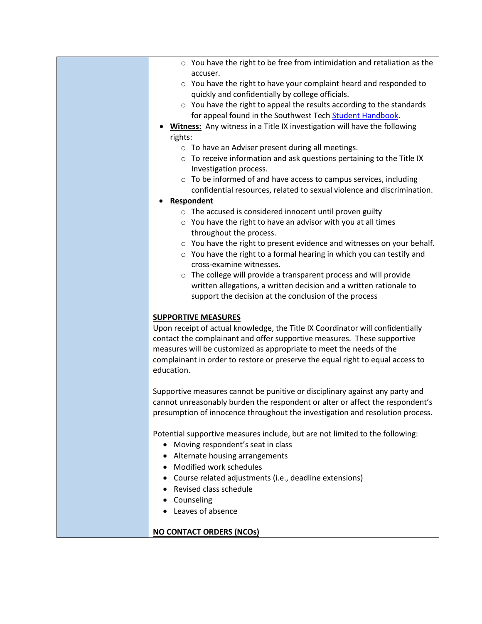| $\circ$ You have the right to be free from intimidation and retaliation as the |
|--------------------------------------------------------------------------------|
| accuser.                                                                       |
| $\circ$ You have the right to have your complaint heard and responded to       |
| quickly and confidentially by college officials.                               |

- o You have the right to appeal the results according to the standards for appeal found in the Southwest Tech [Student Handbook.](https://www.witcc.edu/pdf/student_handbook.pdf)
- **Witness:** Any witness in a Title IX investigation will have the following rights:
	- o To have an Adviser present during all meetings.
	- $\circ$  To receive information and ask questions pertaining to the Title IX Investigation process.
	- o To be informed of and have access to campus services, including confidential resources, related to sexual violence and discrimination.

#### • **Respondent**

- o The accused is considered innocent until proven guilty
- $\circ$  You have the right to have an advisor with you at all times throughout the process.
- o You have the right to present evidence and witnesses on your behalf.
- $\circ$  You have the right to a formal hearing in which you can testify and cross-examine witnesses.
- o The college will provide a transparent process and will provide written allegations, a written decision and a written rationale to support the decision at the conclusion of the process

#### **SUPPORTIVE MEASURES**

Upon receipt of actual knowledge, the Title IX Coordinator will confidentially contact the complainant and offer supportive measures. These supportive measures will be customized as appropriate to meet the needs of the complainant in order to restore or preserve the equal right to equal access to education.

Supportive measures cannot be punitive or disciplinary against any party and cannot unreasonably burden the respondent or alter or affect the respondent's presumption of innocence throughout the investigation and resolution process.

Potential supportive measures include, but are not limited to the following:

- Moving respondent's seat in class
- Alternate housing arrangements
- Modified work schedules
- Course related adjustments (i.e., deadline extensions)
	- Revised class schedule
	- Counseling
	- Leaves of absence

**NO CONTACT ORDERS (NCOs)**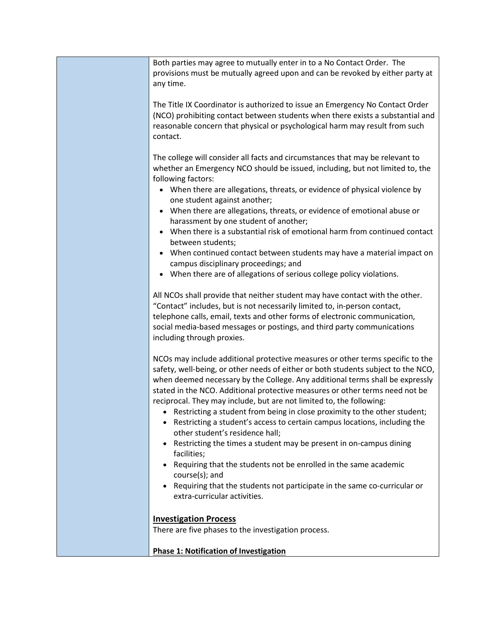| Both parties may agree to mutually enter in to a No Contact Order. The<br>provisions must be mutually agreed upon and can be revoked by either party at<br>any time.                                                                                                                                                                                                                                                                                                                                                                                                   |
|------------------------------------------------------------------------------------------------------------------------------------------------------------------------------------------------------------------------------------------------------------------------------------------------------------------------------------------------------------------------------------------------------------------------------------------------------------------------------------------------------------------------------------------------------------------------|
| The Title IX Coordinator is authorized to issue an Emergency No Contact Order<br>(NCO) prohibiting contact between students when there exists a substantial and<br>reasonable concern that physical or psychological harm may result from such<br>contact.                                                                                                                                                                                                                                                                                                             |
| The college will consider all facts and circumstances that may be relevant to<br>whether an Emergency NCO should be issued, including, but not limited to, the<br>following factors:<br>• When there are allegations, threats, or evidence of physical violence by                                                                                                                                                                                                                                                                                                     |
| one student against another;<br>• When there are allegations, threats, or evidence of emotional abuse or<br>harassment by one student of another;<br>• When there is a substantial risk of emotional harm from continued contact                                                                                                                                                                                                                                                                                                                                       |
| between students;<br>When continued contact between students may have a material impact on<br>$\bullet$<br>campus disciplinary proceedings; and<br>• When there are of allegations of serious college policy violations.                                                                                                                                                                                                                                                                                                                                               |
| All NCOs shall provide that neither student may have contact with the other.<br>"Contact" includes, but is not necessarily limited to, in-person contact,<br>telephone calls, email, texts and other forms of electronic communication,<br>social media-based messages or postings, and third party communications<br>including through proxies.                                                                                                                                                                                                                       |
| NCOs may include additional protective measures or other terms specific to the<br>safety, well-being, or other needs of either or both students subject to the NCO,<br>when deemed necessary by the College. Any additional terms shall be expressly<br>stated in the NCO. Additional protective measures or other terms need not be<br>reciprocal. They may include, but are not limited to, the following:<br>Restricting a student from being in close proximity to the other student;<br>Restricting a student's access to certain campus locations, including the |
| other student's residence hall;<br>Restricting the times a student may be present in on-campus dining<br>facilities;<br>Requiring that the students not be enrolled in the same academic<br>course(s); and<br>Requiring that the students not participate in the same co-curricular or<br>extra-curricular activities.                                                                                                                                                                                                                                                 |
|                                                                                                                                                                                                                                                                                                                                                                                                                                                                                                                                                                        |

# **Investigation Process**

There are five phases to the investigation process.

**Phase 1: Notification of Investigation**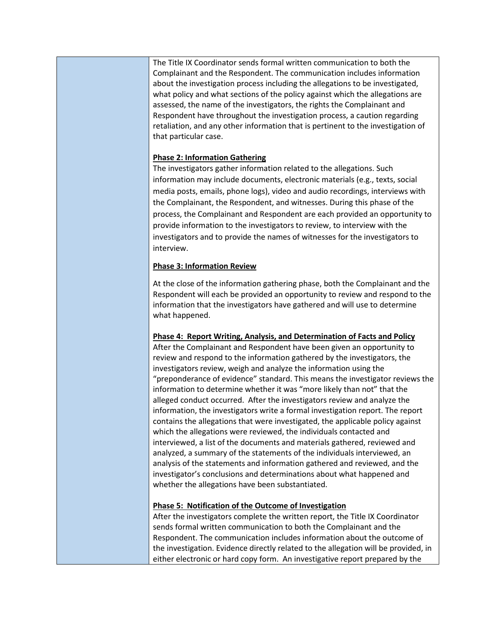The Title IX Coordinator sends formal written communication to both the Complainant and the Respondent. The communication includes information about the investigation process including the allegations to be investigated, what policy and what sections of the policy against which the allegations are assessed, the name of the investigators, the rights the Complainant and Respondent have throughout the investigation process, a caution regarding retaliation, and any other information that is pertinent to the investigation of that particular case.

## **Phase 2: Information Gathering**

The investigators gather information related to the allegations. Such information may include documents, electronic materials (e.g., texts, social media posts, emails, phone logs), video and audio recordings, interviews with the Complainant, the Respondent, and witnesses. During this phase of the process, the Complainant and Respondent are each provided an opportunity to provide information to the investigators to review, to interview with the investigators and to provide the names of witnesses for the investigators to interview.

## **Phase 3: Information Review**

At the close of the information gathering phase, both the Complainant and the Respondent will each be provided an opportunity to review and respond to the information that the investigators have gathered and will use to determine what happened.

## **Phase 4: Report Writing, Analysis, and Determination of Facts and Policy**

After the Complainant and Respondent have been given an opportunity to review and respond to the information gathered by the investigators, the investigators review, weigh and analyze the information using the "preponderance of evidence" standard. This means the investigator reviews the information to determine whether it was "more likely than not" that the alleged conduct occurred. After the investigators review and analyze the information, the investigators write a formal investigation report. The report contains the allegations that were investigated, the applicable policy against which the allegations were reviewed, the individuals contacted and interviewed, a list of the documents and materials gathered, reviewed and analyzed, a summary of the statements of the individuals interviewed, an analysis of the statements and information gathered and reviewed, and the investigator's conclusions and determinations about what happened and whether the allegations have been substantiated.

## **Phase 5: Notification of the Outcome of Investigation**

After the investigators complete the written report, the Title IX Coordinator sends formal written communication to both the Complainant and the Respondent. The communication includes information about the outcome of the investigation. Evidence directly related to the allegation will be provided, in either electronic or hard copy form. An investigative report prepared by the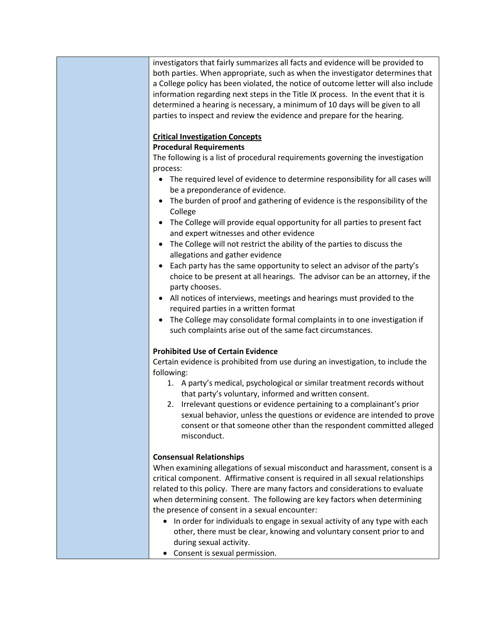investigators that fairly summarizes all facts and evidence will be provided to both parties. When appropriate, such as when the investigator determines that a College policy has been violated, the notice of outcome letter will also include information regarding next steps in the Title IX process. In the event that it is determined a hearing is necessary, a minimum of 10 days will be given to all parties to inspect and review the evidence and prepare for the hearing.

## **Critical Investigation Concepts**

## **Procedural Requirements**

The following is a list of procedural requirements governing the investigation process:

- The required level of evidence to determine responsibility for all cases will be a preponderance of evidence.
- The burden of proof and gathering of evidence is the responsibility of the College
- The College will provide equal opportunity for all parties to present fact and expert witnesses and other evidence
- The College will not restrict the ability of the parties to discuss the allegations and gather evidence
- Each party has the same opportunity to select an advisor of the party's choice to be present at all hearings. The advisor can be an attorney, if the party chooses.
- All notices of interviews, meetings and hearings must provided to the required parties in a written format
- The College may consolidate formal complaints in to one investigation if such complaints arise out of the same fact circumstances.

## **Prohibited Use of Certain Evidence**

Certain evidence is prohibited from use during an investigation, to include the following:

- 1. A party's medical, psychological or similar treatment records without that party's voluntary, informed and written consent.
- 2. Irrelevant questions or evidence pertaining to a complainant's prior sexual behavior, unless the questions or evidence are intended to prove consent or that someone other than the respondent committed alleged misconduct.

## **Consensual Relationships**

When examining allegations of sexual misconduct and harassment, consent is a critical component. Affirmative consent is required in all sexual relationships related to this policy. There are many factors and considerations to evaluate when determining consent. The following are key factors when determining the presence of consent in a sexual encounter:

- In order for individuals to engage in sexual activity of any type with each other, there must be clear, knowing and voluntary consent prior to and during sexual activity.
- Consent is sexual permission.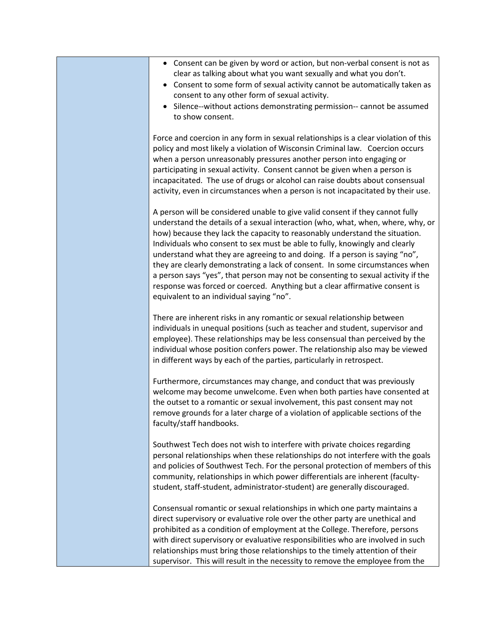- Consent can be given by word or action, but non-verbal consent is not as clear as talking about what you want sexually and what you don't.
- Consent to some form of sexual activity cannot be automatically taken as consent to any other form of sexual activity.
- Silence--without actions demonstrating permission-- cannot be assumed to show consent.

Force and coercion in any form in sexual relationships is a clear violation of this policy and most likely a violation of Wisconsin Criminal law. Coercion occurs when a person unreasonably pressures another person into engaging or participating in sexual activity. Consent cannot be given when a person is incapacitated. The use of drugs or alcohol can raise doubts about consensual activity, even in circumstances when a person is not incapacitated by their use.

A person will be considered unable to give valid consent if they cannot fully understand the details of a sexual interaction (who, what, when, where, why, or how) because they lack the capacity to reasonably understand the situation. Individuals who consent to sex must be able to fully, knowingly and clearly understand what they are agreeing to and doing. If a person is saying "no", they are clearly demonstrating a lack of consent. In some circumstances when a person says "yes", that person may not be consenting to sexual activity if the response was forced or coerced. Anything but a clear affirmative consent is equivalent to an individual saying "no".

There are inherent risks in any romantic or sexual relationship between individuals in unequal positions (such as teacher and student, supervisor and employee). These relationships may be less consensual than perceived by the individual whose position confers power. The relationship also may be viewed in different ways by each of the parties, particularly in retrospect.

Furthermore, circumstances may change, and conduct that was previously welcome may become unwelcome. Even when both parties have consented at the outset to a romantic or sexual involvement, this past consent may not remove grounds for a later charge of a violation of applicable sections of the faculty/staff handbooks.

Southwest Tech does not wish to interfere with private choices regarding personal relationships when these relationships do not interfere with the goals and policies of Southwest Tech. For the personal protection of members of this community, relationships in which power differentials are inherent (facultystudent, staff-student, administrator-student) are generally discouraged.

Consensual romantic or sexual relationships in which one party maintains a direct supervisory or evaluative role over the other party are unethical and prohibited as a condition of employment at the College. Therefore, persons with direct supervisory or evaluative responsibilities who are involved in such relationships must bring those relationships to the timely attention of their supervisor. This will result in the necessity to remove the employee from the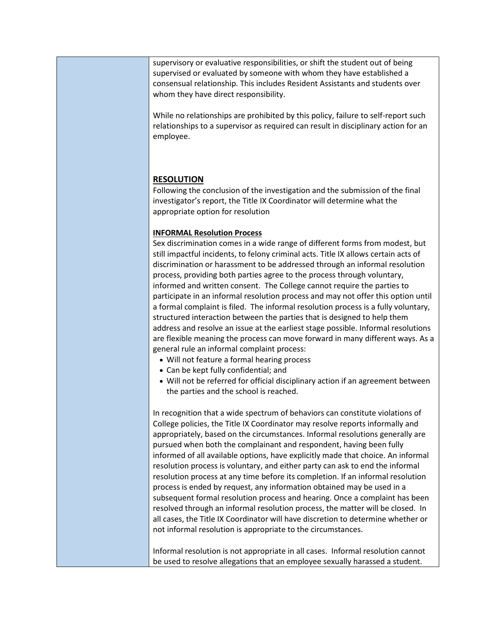supervisory or evaluative responsibilities, or shift the student out of being supervised or evaluated by someone with whom they have established a consensual relationship. This includes Resident Assistants and students over whom they have direct responsibility.

While no relationships are prohibited by this policy, failure to self-report such relationships to a supervisor as required can result in disciplinary action for an employee.

## **RESOLUTION**

Following the conclusion of the investigation and the submission of the final investigator's report, the Title IX Coordinator will determine what the appropriate option for resolution

## **INFORMAL Resolution Process**

Sex discrimination comes in a wide range of different forms from modest, but still impactful incidents, to felony criminal acts. Title IX allows certain acts of discrimination or harassment to be addressed through an informal resolution process, providing both parties agree to the process through voluntary, informed and written consent. The College cannot require the parties to participate in an informal resolution process and may not offer this option until a formal complaint is filed. The informal resolution process is a fully voluntary, structured interaction between the parties that is designed to help them address and resolve an issue at the earliest stage possible. Informal resolutions are flexible meaning the process can move forward in many different ways. As a general rule an informal complaint process:

- Will not feature a formal hearing process
- Can be kept fully confidential; and
- Will not be referred for official disciplinary action if an agreement between the parties and the school is reached.

In recognition that a wide spectrum of behaviors can constitute violations of College policies, the Title IX Coordinator may resolve reports informally and appropriately, based on the circumstances. Informal resolutions generally are pursued when both the complainant and respondent, having been fully informed of all available options, have explicitly made that choice. An informal resolution process is voluntary, and either party can ask to end the informal resolution process at any time before its completion. If an informal resolution process is ended by request, any information obtained may be used in a subsequent formal resolution process and hearing. Once a complaint has been resolved through an informal resolution process, the matter will be closed. In all cases, the Title IX Coordinator will have discretion to determine whether or not informal resolution is appropriate to the circumstances.

Informal resolution is not appropriate in all cases. Informal resolution cannot be used to resolve allegations that an employee sexually harassed a student.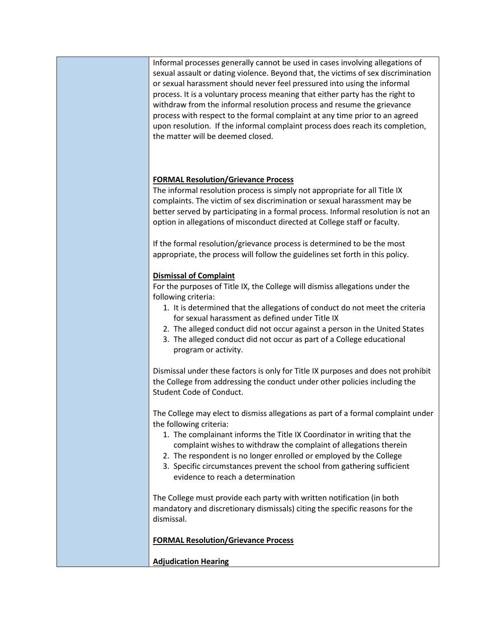Informal processes generally cannot be used in cases involving allegations of sexual assault or dating violence. Beyond that, the victims of sex discrimination or sexual harassment should never feel pressured into using the informal process. It is a voluntary process meaning that either party has the right to withdraw from the informal resolution process and resume the grievance process with respect to the formal complaint at any time prior to an agreed upon resolution. If the informal complaint process does reach its completion, the matter will be deemed closed.

## **FORMAL Resolution/Grievance Process**

The informal resolution process is simply not appropriate for all Title IX complaints. The victim of sex discrimination or sexual harassment may be better served by participating in a formal process. Informal resolution is not an option in allegations of misconduct directed at College staff or faculty.

If the formal resolution/grievance process is determined to be the most appropriate, the process will follow the guidelines set forth in this policy.

## **Dismissal of Complaint**

For the purposes of Title IX, the College will dismiss allegations under the following criteria:

- 1. It is determined that the allegations of conduct do not meet the criteria for sexual harassment as defined under Title IX
- 2. The alleged conduct did not occur against a person in the United States
- 3. The alleged conduct did not occur as part of a College educational program or activity.

Dismissal under these factors is only for Title IX purposes and does not prohibit the College from addressing the conduct under other policies including the Student Code of Conduct.

The College may elect to dismiss allegations as part of a formal complaint under the following criteria:

- 1. The complainant informs the Title IX Coordinator in writing that the complaint wishes to withdraw the complaint of allegations therein
- 2. The respondent is no longer enrolled or employed by the College
- 3. Specific circumstances prevent the school from gathering sufficient evidence to reach a determination

The College must provide each party with written notification (in both mandatory and discretionary dismissals) citing the specific reasons for the dismissal.

**FORMAL Resolution/Grievance Process**

**Adjudication Hearing**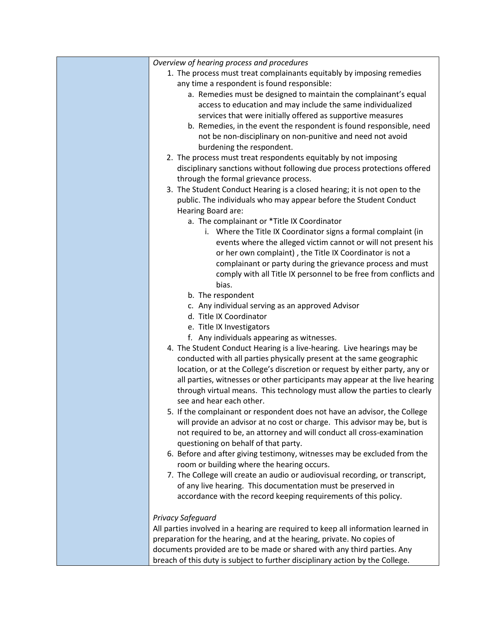| Overview of hearing process and procedures                                                                                                              |
|---------------------------------------------------------------------------------------------------------------------------------------------------------|
| 1. The process must treat complainants equitably by imposing remedies                                                                                   |
| any time a respondent is found responsible:                                                                                                             |
| a. Remedies must be designed to maintain the complainant's equal                                                                                        |
| access to education and may include the same individualized                                                                                             |
| services that were initially offered as supportive measures                                                                                             |
| b. Remedies, in the event the respondent is found responsible, need                                                                                     |
| not be non-disciplinary on non-punitive and need not avoid                                                                                              |
| burdening the respondent.                                                                                                                               |
| 2. The process must treat respondents equitably by not imposing                                                                                         |
| disciplinary sanctions without following due process protections offered                                                                                |
| through the formal grievance process.                                                                                                                   |
| 3. The Student Conduct Hearing is a closed hearing; it is not open to the                                                                               |
| public. The individuals who may appear before the Student Conduct                                                                                       |
| Hearing Board are:                                                                                                                                      |
| a. The complainant or *Title IX Coordinator                                                                                                             |
| i. Where the Title IX Coordinator signs a formal complaint (in                                                                                          |
| events where the alleged victim cannot or will not present his                                                                                          |
| or her own complaint), the Title IX Coordinator is not a                                                                                                |
| complainant or party during the grievance process and must                                                                                              |
| comply with all Title IX personnel to be free from conflicts and                                                                                        |
| bias.                                                                                                                                                   |
| b. The respondent                                                                                                                                       |
| c. Any individual serving as an approved Advisor                                                                                                        |
| d. Title IX Coordinator                                                                                                                                 |
| e. Title IX Investigators                                                                                                                               |
| f. Any individuals appearing as witnesses.                                                                                                              |
| 4. The Student Conduct Hearing is a live-hearing. Live hearings may be                                                                                  |
| conducted with all parties physically present at the same geographic                                                                                    |
| location, or at the College's discretion or request by either party, any or                                                                             |
| all parties, witnesses or other participants may appear at the live hearing<br>through virtual means. This technology must allow the parties to clearly |
| see and hear each other.                                                                                                                                |
| 5. If the complainant or respondent does not have an advisor, the College                                                                               |
| will provide an advisor at no cost or charge. This advisor may be, but is                                                                               |
| not required to be, an attorney and will conduct all cross-examination                                                                                  |
| questioning on behalf of that party.                                                                                                                    |
| 6. Before and after giving testimony, witnesses may be excluded from the                                                                                |
| room or building where the hearing occurs.                                                                                                              |
| 7. The College will create an audio or audiovisual recording, or transcript,                                                                            |
| of any live hearing. This documentation must be preserved in                                                                                            |
| accordance with the record keeping requirements of this policy.                                                                                         |
|                                                                                                                                                         |
| Privacy Safeguard                                                                                                                                       |
| All parties involved in a hearing are required to keep all information learned in                                                                       |
| preparation for the hearing, and at the hearing, private. No copies of                                                                                  |
| documents provided are to be made or shared with any third parties. Any                                                                                 |
| breach of this duty is subject to further disciplinary action by the College.                                                                           |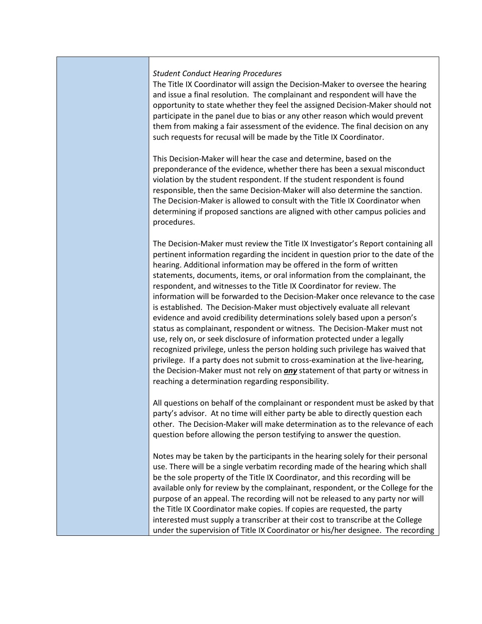#### *Student Conduct Hearing Procedures*

The Title IX Coordinator will assign the Decision-Maker to oversee the hearing and issue a final resolution. The complainant and respondent will have the opportunity to state whether they feel the assigned Decision-Maker should not participate in the panel due to bias or any other reason which would prevent them from making a fair assessment of the evidence. The final decision on any such requests for recusal will be made by the Title IX Coordinator.

This Decision-Maker will hear the case and determine, based on the preponderance of the evidence, whether there has been a sexual misconduct violation by the student respondent. If the student respondent is found responsible, then the same Decision-Maker will also determine the sanction. The Decision-Maker is allowed to consult with the Title IX Coordinator when determining if proposed sanctions are aligned with other campus policies and procedures.

The Decision-Maker must review the Title IX Investigator's Report containing all pertinent information regarding the incident in question prior to the date of the hearing. Additional information may be offered in the form of written statements, documents, items, or oral information from the complainant, the respondent, and witnesses to the Title IX Coordinator for review. The information will be forwarded to the Decision-Maker once relevance to the case is established. The Decision-Maker must objectively evaluate all relevant evidence and avoid credibility determinations solely based upon a person's status as complainant, respondent or witness. The Decision-Maker must not use, rely on, or seek disclosure of information protected under a legally recognized privilege, unless the person holding such privilege has waived that privilege. If a party does not submit to cross-examination at the live-hearing, the Decision-Maker must not rely on *any* statement of that party or witness in reaching a determination regarding responsibility.

All questions on behalf of the complainant or respondent must be asked by that party's advisor. At no time will either party be able to directly question each other. The Decision-Maker will make determination as to the relevance of each question before allowing the person testifying to answer the question.

Notes may be taken by the participants in the hearing solely for their personal use. There will be a single verbatim recording made of the hearing which shall be the sole property of the Title IX Coordinator, and this recording will be available only for review by the complainant, respondent, or the College for the purpose of an appeal. The recording will not be released to any party nor will the Title IX Coordinator make copies. If copies are requested, the party interested must supply a transcriber at their cost to transcribe at the College under the supervision of Title IX Coordinator or his/her designee. The recording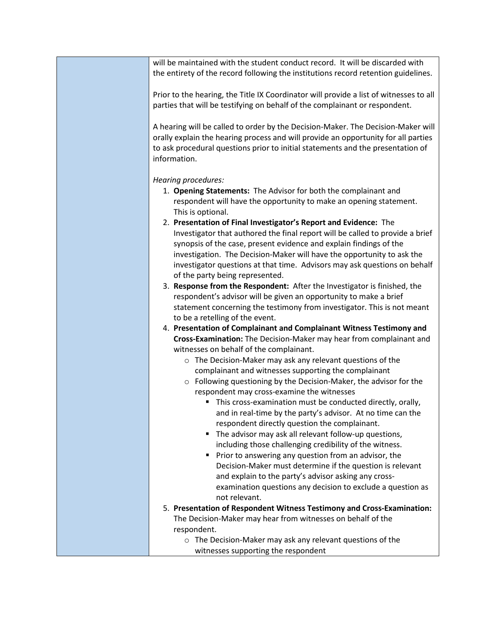will be maintained with the student conduct record. It will be discarded with the entirety of the record following the institutions record retention guidelines.

Prior to the hearing, the Title IX Coordinator will provide a list of witnesses to all parties that will be testifying on behalf of the complainant or respondent.

A hearing will be called to order by the Decision-Maker. The Decision-Maker will orally explain the hearing process and will provide an opportunity for all parties to ask procedural questions prior to initial statements and the presentation of information.

*Hearing procedures:*

- 1. **Opening Statements:** The Advisor for both the complainant and respondent will have the opportunity to make an opening statement. This is optional.
- 2. **Presentation of Final Investigator's Report and Evidence:** The Investigator that authored the final report will be called to provide a brief synopsis of the case, present evidence and explain findings of the investigation. The Decision-Maker will have the opportunity to ask the investigator questions at that time. Advisors may ask questions on behalf of the party being represented.
- 3. **Response from the Respondent:** After the Investigator is finished, the respondent's advisor will be given an opportunity to make a brief statement concerning the testimony from investigator. This is not meant to be a retelling of the event.
- 4. **Presentation of Complainant and Complainant Witness Testimony and Cross-Examination:** The Decision-Maker may hear from complainant and witnesses on behalf of the complainant.
	- o The Decision-Maker may ask any relevant questions of the complainant and witnesses supporting the complainant
	- o Following questioning by the Decision-Maker, the advisor for the respondent may cross-examine the witnesses
		- This cross-examination must be conducted directly, orally, and in real-time by the party's advisor. At no time can the respondent directly question the complainant.
		- The advisor may ask all relevant follow-up questions, including those challenging credibility of the witness.
		- **Prior to answering any question from an advisor, the** Decision-Maker must determine if the question is relevant and explain to the party's advisor asking any crossexamination questions any decision to exclude a question as not relevant.
- 5. **Presentation of Respondent Witness Testimony and Cross-Examination:** The Decision-Maker may hear from witnesses on behalf of the respondent.
	- o The Decision-Maker may ask any relevant questions of the witnesses supporting the respondent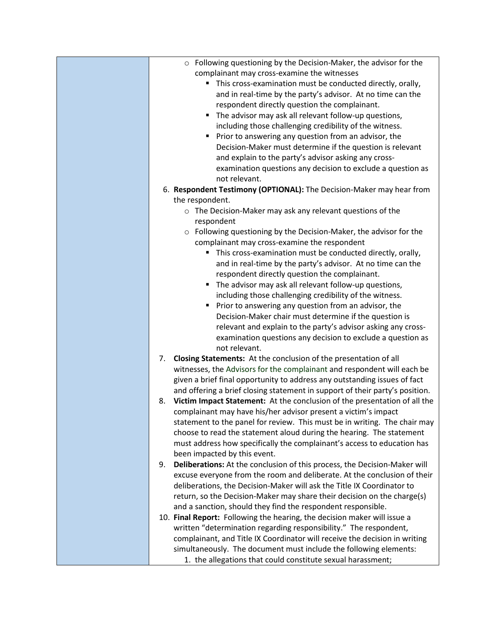| o Following questioning by the Decision-Maker, the advisor for the              |
|---------------------------------------------------------------------------------|
| complainant may cross-examine the witnesses                                     |
| • This cross-examination must be conducted directly, orally,                    |
| and in real-time by the party's advisor. At no time can the                     |
| respondent directly question the complainant.                                   |
| The advisor may ask all relevant follow-up questions,                           |
| including those challenging credibility of the witness.                         |
| Prior to answering any question from an advisor, the                            |
| Decision-Maker must determine if the question is relevant                       |
| and explain to the party's advisor asking any cross-                            |
| examination questions any decision to exclude a question as                     |
| not relevant.                                                                   |
| 6. Respondent Testimony (OPTIONAL): The Decision-Maker may hear from            |
| the respondent.                                                                 |
| $\circ$ The Decision-Maker may ask any relevant questions of the                |
| respondent                                                                      |
| Following questioning by the Decision-Maker, the advisor for the<br>$\circ$     |
| complainant may cross-examine the respondent                                    |
| " This cross-examination must be conducted directly, orally,                    |
| and in real-time by the party's advisor. At no time can the                     |
| respondent directly question the complainant.                                   |
| The advisor may ask all relevant follow-up questions,                           |
| including those challenging credibility of the witness.                         |
| Prior to answering any question from an advisor, the<br>$\blacksquare$          |
| Decision-Maker chair must determine if the question is                          |
| relevant and explain to the party's advisor asking any cross-                   |
| examination questions any decision to exclude a question as                     |
| not relevant.                                                                   |
| 7. Closing Statements: At the conclusion of the presentation of all             |
| witnesses, the Advisors for the complainant and respondent will each be         |
| given a brief final opportunity to address any outstanding issues of fact       |
| and offering a brief closing statement in support of their party's position.    |
| Victim Impact Statement: At the conclusion of the presentation of all the<br>8. |
| complainant may have his/her advisor present a victim's impact                  |
| statement to the panel for review. This must be in writing. The chair may       |
| choose to read the statement aloud during the hearing. The statement            |
| must address how specifically the complainant's access to education has         |
| been impacted by this event.                                                    |
| Deliberations: At the conclusion of this process, the Decision-Maker will<br>9. |
| excuse everyone from the room and deliberate. At the conclusion of their        |
| deliberations, the Decision-Maker will ask the Title IX Coordinator to          |
| return, so the Decision-Maker may share their decision on the charge(s)         |
| and a sanction, should they find the respondent responsible.                    |
| 10. Final Report: Following the hearing, the decision maker will issue a        |
| written "determination regarding responsibility." The respondent,               |
| complainant, and Title IX Coordinator will receive the decision in writing      |
| simultaneously. The document must include the following elements:               |
| 1. the allegations that could constitute sexual harassment;                     |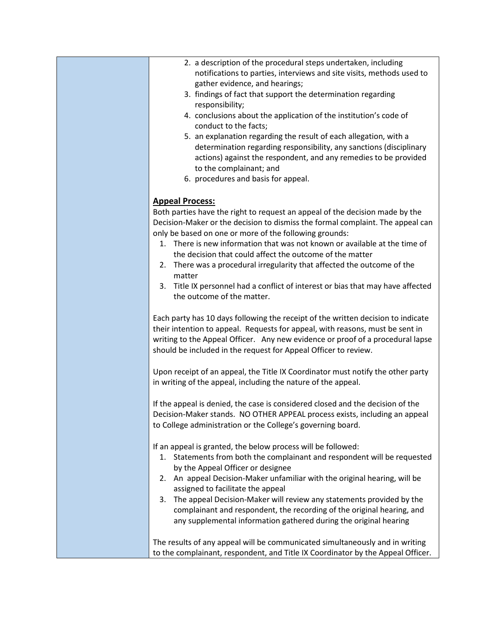| 2. a description of the procedural steps undertaken, including        |  |
|-----------------------------------------------------------------------|--|
| notifications to parties, interviews and site visits, methods used to |  |
| gather evidence, and hearings;                                        |  |

- 3. findings of fact that support the determination regarding responsibility;
- 4. conclusions about the application of the institution's code of conduct to the facts;
- 5. an explanation regarding the result of each allegation, with a determination regarding responsibility, any sanctions (disciplinary actions) against the respondent, and any remedies to be provided to the complainant; and
- 6. procedures and basis for appeal.

## **Appeal Process:**

Both parties have the right to request an appeal of the decision made by the Decision-Maker or the decision to dismiss the formal complaint. The appeal can only be based on one or more of the following grounds:

- 1. There is new information that was not known or available at the time of the decision that could affect the outcome of the matter
- 2. There was a procedural irregularity that affected the outcome of the matter
- 3. Title IX personnel had a conflict of interest or bias that may have affected the outcome of the matter.

Each party has 10 days following the receipt of the written decision to indicate their intention to appeal. Requests for appeal, with reasons, must be sent in writing to the Appeal Officer. Any new evidence or proof of a procedural lapse should be included in the request for Appeal Officer to review.

Upon receipt of an appeal, the Title IX Coordinator must notify the other party in writing of the appeal, including the nature of the appeal.

If the appeal is denied, the case is considered closed and the decision of the Decision-Maker stands. NO OTHER APPEAL process exists, including an appeal to College administration or the College's governing board.

If an appeal is granted, the below process will be followed:

- 1. Statements from both the complainant and respondent will be requested by the Appeal Officer or designee
- 2. An appeal Decision-Maker unfamiliar with the original hearing, will be assigned to facilitate the appeal
- 3. The appeal Decision-Maker will review any statements provided by the complainant and respondent, the recording of the original hearing, and any supplemental information gathered during the original hearing

The results of any appeal will be communicated simultaneously and in writing to the complainant, respondent, and Title IX Coordinator by the Appeal Officer.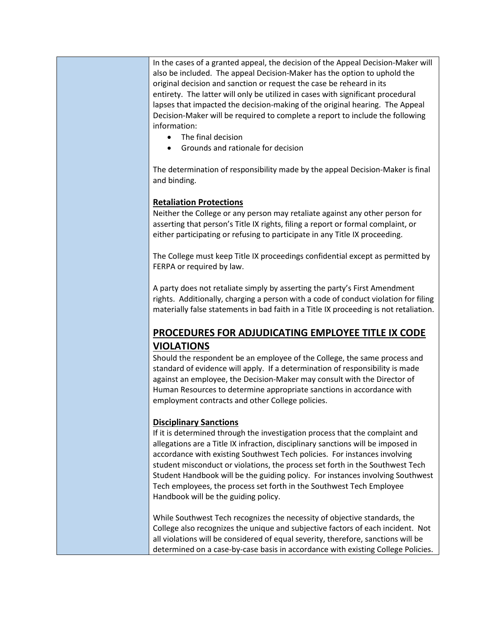In the cases of a granted appeal, the decision of the Appeal Decision-Maker will also be included. The appeal Decision-Maker has the option to uphold the original decision and sanction or request the case be reheard in its entirety. The latter will only be utilized in cases with significant procedural lapses that impacted the decision-making of the original hearing. The Appeal Decision-Maker will be required to complete a report to include the following information:

- The final decision
- Grounds and rationale for decision

The determination of responsibility made by the appeal Decision-Maker is final and binding.

## **Retaliation Protections**

Neither the College or any person may retaliate against any other person for asserting that person's Title IX rights, filing a report or formal complaint, or either participating or refusing to participate in any Title IX proceeding.

The College must keep Title IX proceedings confidential except as permitted by FERPA or required by law.

A party does not retaliate simply by asserting the party's First Amendment rights. Additionally, charging a person with a code of conduct violation for filing materially false statements in bad faith in a Title IX proceeding is not retaliation.

# **PROCEDURES FOR ADJUDICATING EMPLOYEE TITLE IX CODE VIOLATIONS**

Should the respondent be an employee of the College, the same process and standard of evidence will apply. If a determination of responsibility is made against an employee, the Decision-Maker may consult with the Director of Human Resources to determine appropriate sanctions in accordance with employment contracts and other College policies.

## **Disciplinary Sanctions**

If it is determined through the investigation process that the complaint and allegations are a Title IX infraction, disciplinary sanctions will be imposed in accordance with existing Southwest Tech policies. For instances involving student misconduct or violations, the process set forth in the Southwest Tech Student Handbook will be the guiding policy. For instances involving Southwest Tech employees, the process set forth in the Southwest Tech Employee Handbook will be the guiding policy.

While Southwest Tech recognizes the necessity of objective standards, the College also recognizes the unique and subjective factors of each incident. Not all violations will be considered of equal severity, therefore, sanctions will be determined on a case-by-case basis in accordance with existing College Policies.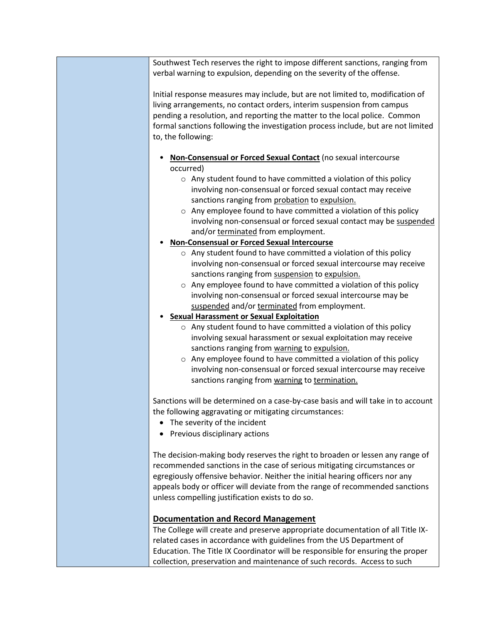Southwest Tech reserves the right to impose different sanctions, ranging from verbal warning to expulsion, depending on the severity of the offense.

Initial response measures may include, but are not limited to, modification of living arrangements, no contact orders, interim suspension from campus pending a resolution, and reporting the matter to the local police. Common formal sanctions following the investigation process include, but are not limited to, the following:

- **Non-Consensual or Forced Sexual Contact** (no sexual intercourse occurred)
	- o Any student found to have committed a violation of this policy involving non-consensual or forced sexual contact may receive sanctions ranging from probation to expulsion.
	- o Any employee found to have committed a violation of this policy involving non-consensual or forced sexual contact may be suspended and/or terminated from employment.
- **Non-Consensual or Forced Sexual Intercourse**
	- o Any student found to have committed a violation of this policy involving non-consensual or forced sexual intercourse may receive sanctions ranging from suspension to expulsion.
	- o Any employee found to have committed a violation of this policy involving non-consensual or forced sexual intercourse may be suspended and/or terminated from employment.

## • **Sexual Harassment or Sexual Exploitation**

- o Any student found to have committed a violation of this policy involving sexual harassment or sexual exploitation may receive sanctions ranging from warning to expulsion.
- o Any employee found to have committed a violation of this policy involving non-consensual or forced sexual intercourse may receive sanctions ranging from warning to termination.

Sanctions will be determined on a case-by-case basis and will take in to account the following aggravating or mitigating circumstances:

- The severity of the incident
- Previous disciplinary actions

The decision-making body reserves the right to broaden or lessen any range of recommended sanctions in the case of serious mitigating circumstances or egregiously offensive behavior. Neither the initial hearing officers nor any appeals body or officer will deviate from the range of recommended sanctions unless compelling justification exists to do so.

## **Documentation and Record Management**

The College will create and preserve appropriate documentation of all Title IXrelated cases in accordance with guidelines from the US Department of Education. The Title IX Coordinator will be responsible for ensuring the proper collection, preservation and maintenance of such records. Access to such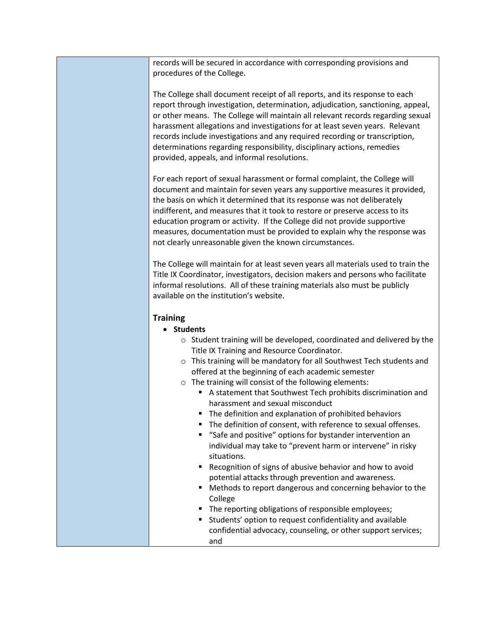records will be secured in accordance with corresponding provisions and procedures of the College.

The College shall document receipt of all reports, and its response to each report through investigation, determination, adjudication, sanctioning, appeal, or other means. The College will maintain all relevant records regarding sexual harassment allegations and investigations for at least seven years. Relevant records include investigations and any required recording or transcription, determinations regarding responsibility, disciplinary actions, remedies provided, appeals, and informal resolutions.

For each report of sexual harassment or formal complaint, the College will document and maintain for seven years any supportive measures it provided, the basis on which it determined that its response was not deliberately indifferent, and measures that it took to restore or preserve access to its education program or activity. If the College did not provide supportive measures, documentation must be provided to explain why the response was not clearly unreasonable given the known circumstances.

The College will maintain for at least seven years all materials used to train the Title IX Coordinator, investigators, decision makers and persons who facilitate informal resolutions. All of these training materials also must be publicly available on the institution's website.

#### **Training**

- **Students**
	- o Student training will be developed, coordinated and delivered by the Title IX Training and Resource Coordinator.
	- o This training will be mandatory for all Southwest Tech students and offered at the beginning of each academic semester
	- o The training will consist of the following elements:
		- A statement that Southwest Tech prohibits discrimination and harassment and sexual misconduct
		- The definition and explanation of prohibited behaviors
		- The definition of consent, with reference to sexual offenses.
		- "Safe and positive" options for bystander intervention an individual may take to "prevent harm or intervene" in risky situations.
		- Recognition of signs of abusive behavior and how to avoid potential attacks through prevention and awareness.
		- Methods to report dangerous and concerning behavior to the College
		- The reporting obligations of responsible employees;
		- Students' option to request confidentiality and available confidential advocacy, counseling, or other support services; and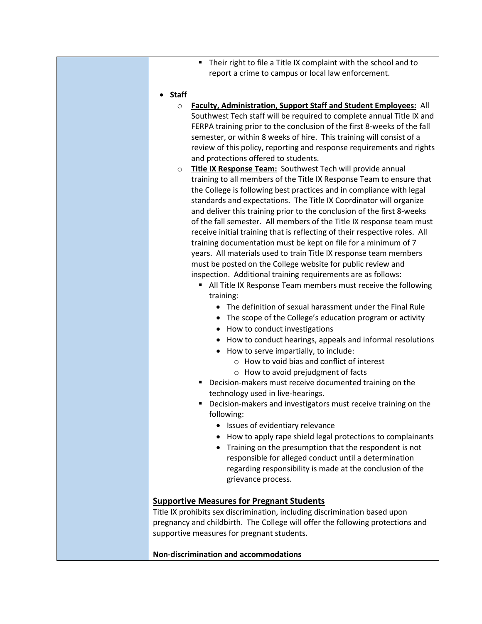- Their right to file a Title IX complaint with the school and to report a crime to campus or local law enforcement.
- **Staff**
	- o **Faculty, Administration, Support Staff and Student Employees:** All Southwest Tech staff will be required to complete annual Title IX and FERPA training prior to the conclusion of the first 8-weeks of the fall semester, or within 8 weeks of hire. This training will consist of a review of this policy, reporting and response requirements and rights and protections offered to students.
	- o **Title IX Response Team:** Southwest Tech will provide annual training to all members of the Title IX Response Team to ensure that the College is following best practices and in compliance with legal standards and expectations. The Title IX Coordinator will organize and deliver this training prior to the conclusion of the first 8-weeks of the fall semester. All members of the Title IX response team must receive initial training that is reflecting of their respective roles. All training documentation must be kept on file for a minimum of 7 years. All materials used to train Title IX response team members must be posted on the College website for public review and inspection. Additional training requirements are as follows:
		- All Title IX Response Team members must receive the following training:
			- The definition of sexual harassment under the Final Rule
			- The scope of the College's education program or activity
			- How to conduct investigations
			- How to conduct hearings, appeals and informal resolutions
			- How to serve impartially, to include:
				- o How to void bias and conflict of interest
				- o How to avoid prejudgment of facts
		- Decision-makers must receive documented training on the technology used in live-hearings.
		- Decision-makers and investigators must receive training on the following:
			- Issues of evidentiary relevance
			- How to apply rape shield legal protections to complainants
			- Training on the presumption that the respondent is not responsible for alleged conduct until a determination regarding responsibility is made at the conclusion of the grievance process.

#### **Supportive Measures for Pregnant Students**

Title IX prohibits sex discrimination, including discrimination based upon pregnancy and childbirth. The College will offer the following protections and supportive measures for pregnant students.

**Non-discrimination and accommodations**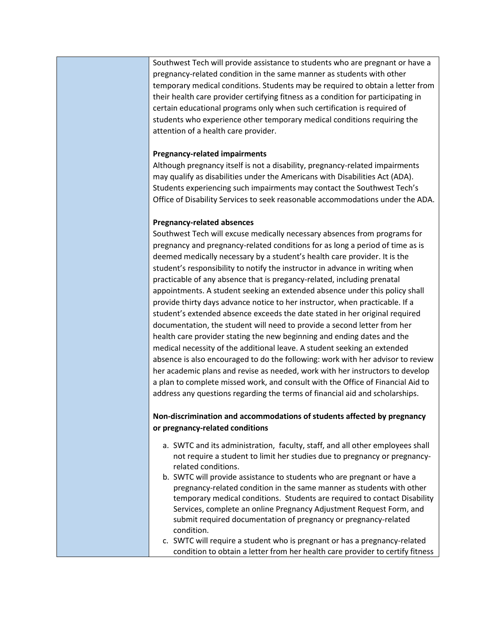Southwest Tech will provide assistance to students who are pregnant or have a pregnancy-related condition in the same manner as students with other temporary medical conditions. Students may be required to obtain a letter from their health care provider certifying fitness as a condition for participating in certain educational programs only when such certification is required of students who experience other temporary medical conditions requiring the attention of a health care provider.

#### **Pregnancy-related impairments**

Although pregnancy itself is not a disability, pregnancy-related impairments may qualify as disabilities under the Americans with Disabilities Act (ADA). Students experiencing such impairments may contact the Southwest Tech's Office of Disability Services to seek reasonable accommodations under the ADA.

#### **Pregnancy-related absences**

Southwest Tech will excuse medically necessary absences from programs for pregnancy and pregnancy-related conditions for as long a period of time as is deemed medically necessary by a student's health care provider. It is the student's responsibility to notify the instructor in advance in writing when practicable of any absence that is pregancy-related, including prenatal appointments. A student seeking an extended absence under this policy shall provide thirty days advance notice to her instructor, when practicable. If a student's extended absence exceeds the date stated in her original required documentation, the student will need to provide a second letter from her health care provider stating the new beginning and ending dates and the medical necessity of the additional leave. A student seeking an extended absence is also encouraged to do the following: work with her advisor to review her academic plans and revise as needed, work with her instructors to develop a plan to complete missed work, and consult with the Office of Financial Aid to address any questions regarding the terms of financial aid and scholarships.

## **Non-discrimination and accommodations of students affected by pregnancy or pregnancy-related conditions**

- a. SWTC and its administration, faculty, staff, and all other employees shall not require a student to limit her studies due to pregnancy or pregnancyrelated conditions.
- b. SWTC will provide assistance to students who are pregnant or have a pregnancy-related condition in the same manner as students with other temporary medical conditions. Students are required to contact Disability Services, complete an online Pregnancy Adjustment Request Form, and submit required documentation of pregnancy or pregnancy-related condition.
- c. SWTC will require a student who is pregnant or has a pregnancy-related condition to obtain a letter from her health care provider to certify fitness